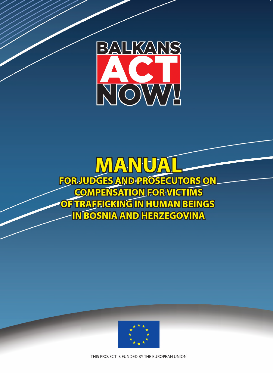

VANIU ZA FOR JUDGES AND PROSECUTORS ON **COMPENSATION FOR VICTIMS<br>OF TRAFFICKING IN HUMAN BEINGS IN BOSNIA AND HERZEGOVINA** 



THIS PROJECT IS FUNDED BY THE EUROPEAN UNION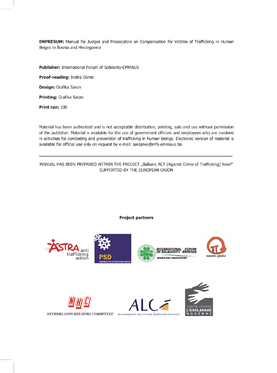IMPRESUM: Manual for Judges and Prosecutors on Compensation for Victims of Trafficking in Human Beigns in Bosnia and Herzegovina

Publisher: International Forum of Solidarity-EMMAUS

Proof-reading: Indira Osmic

Design: Grafika Saran

Printing: Grafika Saran

Print run: 100

Material has been authorized and is not acceptable distribution, printing, sale and use without permission of the publisher. Material is available for the use of government officials and employees who are involved in activities for combating and prevention of trafficking in human beings. Electronic version of material is available for official use only on request by e-mail: sarajevo@mfs-emmaus.ba

MANUAL HAS BEEN PREPARED WITHIN THE PROJECT "Balkans ACT (Against Crime of Trafficking) Now!" SUPPORTED BY THE EUROPEAN UNION

#### **Project partners**

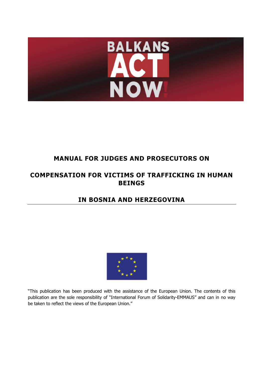

# **MANUAL FOR JUDGES AND PROSECUTORS ON**

# **COMPENSATION FOR VICTIMS OF TRAFFICKING IN HUMAN BEINGS**

# **IN BOSNIA AND HERZEGOVINA**



"This publication has been produced with the assistance of the European Union. The contents of this publication are the sole responsibility of "International Forum of Solidarity-EMMAUS" and can in no way be taken to reflect the views of the European Union."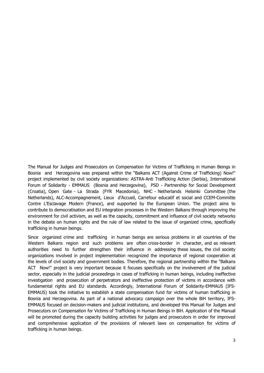The Manual for Judges and Prosecutors on Compensation for Victims of Trafficking in Human Beings in Bosnia and Herzegovina was prepared within the "Balkans ACT (Against Crime of Trafficking) Now!" project implemented by civil society organizations: ASTRA-Anti Trafficking Action (Serbia), International Forum of Solidarity - EMMAUS (Bosnia and Herzegovina), PSD - Partnership for Social Development (Croatia), Open Gate - La Strada (FYR Macedonia), NHC - Netherlands Helsinki Committee (the Netherlands), ALC-Accompagnement, Lieux d'Accueil, Carrefour educatif et social and CCEM-Committe Contre L'Esclavage Modern (France), and supported by the European Union. The project aims to contribute to democratisation and EU integration processes in the Western Balkans through improving the environment for civil activism, as well as the capacity, commitment and influence of civil society networks in the debate on human rights and the rule of law related to the issue of organized crime, specifically trafficking in human beings.

Since organized crime and trafficking in human beings are serious problems in all countries of the Western Balkans region and such problems are often cross-border in character, and as relevant authorities need to further strengthen their influence in addressing these issues, the civil society organizations involved in project implementation recognized the importance of regional cooperation at the levels of civil society and government bodies. Therefore, the regional partnership within the "Balkans ACT Now!" project is very important because it focuses specifically on the involvement of the judicial sector, especially in the judicial proceedings in cases of trafficking in human beings, including ineffective investigation and prosecution of perpetrators and ineffective protection of victims in accordance with fundamental rights and EU standards. Accordingly, International Forum of Solidarity-EMMAUS (IFS-EMMAUS) took the initiative to establish a state compensation fund for victims of human trafficking in Bosnia and Herzegovina. As part of a national advocacy campaign over the whole BiH territory, IFS-EMMAUS focused on decision-makers and judicial institutions, and developed this Manual for Judges and Prosecutors on Compensation for Victims of Trafficking in Human Beings in BiH. Application of the Manual will be promoted during the capacity building activities for judges and prosecutors in order for improved and comprehensive application of the provisions of relevant laws on compensation for victims of trafficking in human beings.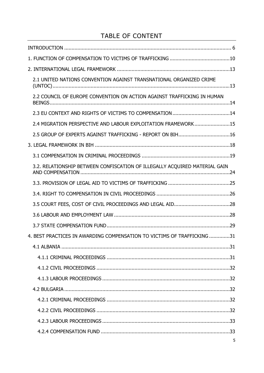# TABLE OF CONTENT

| 2.1 UNITED NATIONS CONVENTION AGAINST TRANSNATIONAL ORGANIZED CRIME        |   |
|----------------------------------------------------------------------------|---|
| 2.2 COUNCIL OF EUROPE CONVENTION ON ACTION AGAINST TRAFFICKING IN HUMAN    |   |
|                                                                            |   |
| 2.4 MIGRATION PERSPECTIVE AND LABOUR EXPLOITATION FRAMEWORK15              |   |
| 2.5 GROUP OF EXPERTS AGAINST TRAFFICKING - REPORT ON BIH16                 |   |
|                                                                            |   |
|                                                                            |   |
| 3.2. RELATIONSHIP BETWEEN CONFISCATION OF ILLEGALLY ACQUIRED MATERIAL GAIN |   |
|                                                                            |   |
|                                                                            |   |
|                                                                            |   |
|                                                                            |   |
|                                                                            |   |
| 4. BEST PRACTICES IN AWARDING COMPENSATION TO VICTIMS OF TRAFFICKING31     |   |
|                                                                            |   |
|                                                                            |   |
|                                                                            |   |
|                                                                            |   |
|                                                                            |   |
|                                                                            |   |
|                                                                            |   |
|                                                                            |   |
|                                                                            |   |
|                                                                            | 5 |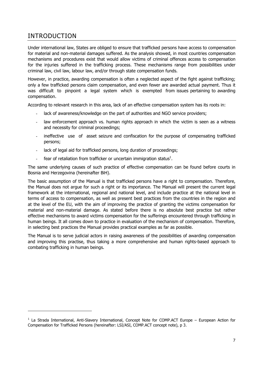# INTRODUCTION

-

Under international law, States are obliged to ensure that trafficked persons have access to compensation for material and non-material damages suffered. As the analysis showed, in most countries compensation mechanisms and procedures exist that would allow victims of criminal offences access to compensation for the injuries suffered in the trafficking process. These mechanisms range from possibilities under criminal law, civil law, labour law, and/or through state compensation funds.

However, in practice, awarding compensation is often a neglected aspect of the fight against trafficking; only a few trafficked persons claim compensation, and even fewer are awarded actual payment. Thus it was difficult to pinpoint a legal system which is exempted from issues pertaining to awarding compensation.

According to relevant research in this area, lack of an effective compensation system has its roots in:

- lack of awareness/knowledge on the part of authorities and NGO service providers;
- law enforcement approach vs. human rights approach in which the victim is seen as a witness and necessity for criminal proceedings;
- ineffective use of asset seizure and confiscation for the purpose of compensating trafficked persons;
- lack of legal aid for trafficked persons, long duration of proceedings;
- fear of retaliation from trafficker or uncertain immigration status<sup>1</sup>.

The same underlying causes of such practice of effective compensation can be found before courts in Bosnia and Herzegovina (hereinafter BiH).

The basic assumption of the Manual is that trafficked persons have a right to compensation. Therefore, the Manual does not argue for such a right or its importance. The Manual will present the current legal framework at the international, regional and national level, and include practice at the national level in terms of access to compensation, as well as present best practices from the countries in the region and at the level of the EU, with the aim of improving the practice of granting the victims compensation for material and non-material damage. As stated before there is no absolute best practice but rather effective mechanisms to award victims compensation for the sufferings encountered through trafficking in human beings. It all comes down to practice in evaluation of the mechanism of compensation. Therefore, in selecting best practices the Manual provides practical examples as far as possible.

The Manual is to serve judicial actors in raising awareness of the possibilities of awarding compensation and improving this practise, thus taking a more comprehensive and human rights-based approach to combating trafficking in human beings.

<sup>&</sup>lt;sup>1</sup> La Strada International, Anti-Slavery International, Concept Note for COMP.ACT Europe – European Action for Compensation for Trafficked Persons (hereinafter: LSI/ASI, COMP.ACT concept note), p 3.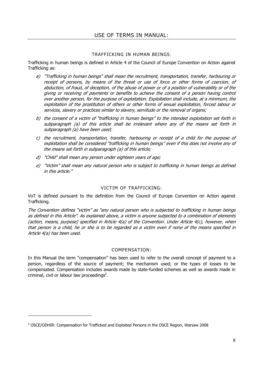#### TRAFFICKING IN HUMAN BEINGS:

Trafficking in human beings is defined in Article 4 of the Council of Europe Convention on Action against Trafficking as:

- a) "Trafficking in human beings" shall mean the recruitment, transportation, transfer, harbouring or receipt of persons, by means of the threat or use of force or other forms of coercion, of abduction, of fraud, of deception, of the abuse of power or of a position of vulnerability or of the giving or receiving of payments or benefits to achieve the consent of a person having control over another person, for the purpose of exploitation. Exploitation shall include, at a minimum, the exploitation of the prostitution of others or other forms of sexual exploitation, forced labour or services, slavery or practices similar to slavery, servitude or the removal of organs;
- b) the consent of a victim of "trafficking in human beings" to the intended exploitation set forth in subparagraph (a) of this article shall be irrelevant where any of the means set forth in subparagraph (a) have been used;
- c) the recruitment, transportation, transfer, harbouring or receipt of a child for the purpose of exploitation shall be considered "trafficking in human beings" even if this does not involve any of the means set forth in subparagraph (a) of this article;
- d) "Child" shall mean any person under eighteen years of age;
- e) "Victim" shall mean any natural person who is subject to trafficking in human beings as defined in this article."

#### VICTIM OF TRAFFICKING:

VoT is defined pursuant to the definition from the Council of Europe Convention on Action against Trafficking.

The Convention defines "victim" as "any natural person who is subjected to trafficking in human beings as defined in this Article". As explained above, a victim is anyone subjected to a combination of elements (action, means, purpose) specified in Article 4(a) of the Convention. Under Article 4(c), however, when that person is a child, he or she is to be regarded as a victim even if none of the means specified in Article 4(a) has been used.

#### COMPENSATION:

In this Manual the term "compensation" has been used to refer to the overall concept of payment to a person, regardless of the source of payment; the mechanism used; or the types of losses to be compensated. Compensation includes awards made by state-funded schemes as well as awards made in criminal, civil or labour law proceedings<sup>2</sup>.

<sup>&</sup>lt;sup>2</sup> OSCE/ODHIR: Compensation for Trafficked and Exploited Persons in the OSCE Region, Warsaw 2008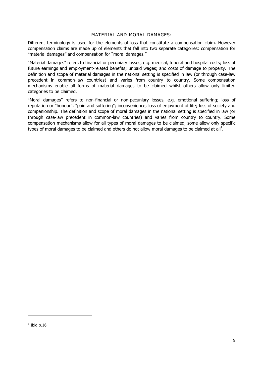#### MATERIAL AND MORAL DAMAGES:

Different terminology is used for the elements of loss that constitute a compensation claim. However compensation claims are made up of elements that fall into two separate categories: compensation for "material damages" and compensation for "moral damages."

"Material damages" refers to financial or pecuniary losses, e.g. medical, funeral and hospital costs; loss of future earnings and employment-related benefits; unpaid wages; and costs of damage to property. The definition and scope of material damages in the national setting is specified in law (or through case-law precedent in common-law countries) and varies from country to country. Some compensation mechanisms enable all forms of material damages to be claimed whilst others allow only limited categories to be claimed.

"Moral damages" refers to non-financial or non-pecuniary losses, e.g. emotional suffering; loss of reputation or "honour"; "pain and suffering"; inconvenience; loss of enjoyment of life; loss of society and companionship. The definition and scope of moral damages in the national setting is specified in law (or through case-law precedent in common-law countries) and varies from country to country. Some compensation mechanisms allow for all types of moral damages to be claimed, some allow only specific types of moral damages to be claimed and others do not allow moral damages to be claimed at all<sup>3</sup>.

 $3$  Ibid p.16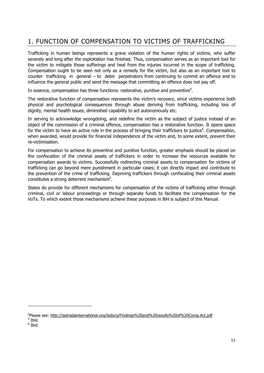# 1. FUNCTION OF COMPENSATION TO VICTIMS OF TRAFFICKING

Trafficking in human beings represents a grave violation of the human rights of victims, who suffer severely and long after the exploitation has finished. Thus, compensation serves as an important tool for the victim to mitigate those sufferings and heal from the injuries incurred in the scope of trafficking. Compensation ought to be seen not only as a remedy for the victim, but also as an important tool to counter trafficking in general – to deter perpetrators from continuing to commit an offence and to influence the general public and send the message that committing an offence does not pay off.

In essence, compensation has three functions: restorative, punitive and preventive<sup>4</sup>.

The restorative function of compensation represents the victim's recovery, since victims experience both physical and psychological consequences through abuse deriving from trafficking, including loss of dignity, mental health issues, diminished capability to act autonomously etc.

In serving to acknowledge wrongdoing, and redefine the victim as the subject of justice instead of an object of the commission of a criminal offence, compensation has a restorative function. It opens space for the victim to have an active role in the process of bringing their traffickers to justice<sup>5</sup>. Compensation, when awarded, would provide for financial independence of the victim and, to some extent, prevent their re-victimisation.

For compensation to achieve its preventive and punitive function, greater emphasis should be placed on the confiscation of the criminal assets of traffickers in order to increase the resources available for compensation awards to victims. Successfully redirecting criminal assets to compensation for victims of trafficking can go beyond mere punishment in particular cases; it can directly impact and contribute to the prevention of the crime of trafficking. Depriving traffickers through confiscating their criminal assets constitutes a strong deterrent mechanism $6$ .

States do provide for different mechanisms for compensation of the victims of trafficking either through criminal, civil or labour proceedings or through separate funds to facilitate the compensation for the VoTs. To which extent those mechanisms achieve these purposes in BiH is subject of this Manual.

<sup>4</sup> Please see: http://lastradainternational.org/lsidocs/Findings%20and%20results%20of%20Comp.Act.pdf  $<sup>5</sup>$  Ibid.</sup>

 $<sup>6</sup>$  Ibid.</sup>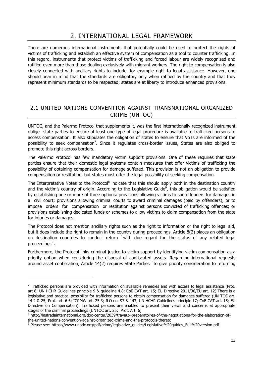# 2. INTERNATIONAL LEGAL FRAMEWORK

There are numerous international instruments that potentially could be used to protect the rights of victims of trafficking and establish an effective system of compensation as a tool to counter trafficking. In this regard, instruments that protect victims of trafficking and forced labour are widely recognized and ratified even more than those dealing exclusively with migrant workers. The right to compensation is also closely connected with ancillary rights to include, for example right to legal assistance. However, one should bear in mind that the standards are obligatory only when ratified by the country and that they represent minimum standards to be respected; states are at liberty to introduce enhanced provisions.

## 2.1 UNITED NATIONS CONVENTION AGAINST TRANSNATIONAL ORGANIZED CRIME (UNTOC)

UNTOC, and the Palermo Protocol that supplements it, was the first internationally recognized instrument oblige state parties to ensure at least one type of legal procedure is available to trafficked persons to access compensation. It also stipulates the obligation of states to ensure that VoTs are informed of the possibility to seek compensation<sup>7</sup>. Since it regulates cross-border issues, States are also obliged to promote this right across borders.

The Palermo Protocol has few mandatory victim support provisions. One of these requires that state parties ensure that their domestic legal systems contain measures that offer victims of trafficking the possibility of obtaining compensation for damage suffered. This provision is not an obligation to provide compensation or restitution, but states must offer the legal possibility of seeking compensation.

The Interpretative Notes to the Protocol<sup>8</sup> indicate that this should apply both in the destination country and the victim's country of origin. According to the Legislative Guide $9$ , this obligation would be satisfied by establishing one or more of three options: provisions allowing victims to sue offenders for damages in a civil court; provisions allowing criminal courts to award criminal damages (paid by offenders), or to impose orders for compensation or restitution against persons convicted of trafficking offences; or provisions establishing dedicated funds or schemes to allow victims to claim compensation from the state for injuries or damages.

The Protocol does not mention ancillary rights such as the right to information or the right to legal aid, but it does include the right to remain in the country during proceedings. Article 8(2) places an obligation on destination countries to conduct return `with due regard for…the status of any related legal proceedings´.

Furthermore, the Protocol links criminal justice to victim support by identifying victim compensation as a priority option when considering the disposal of confiscated assets. Regarding international requests around asset confiscation, Article 14(2) requires State Parties `to give priority consideration to returning

1

 $<sup>7</sup>$  Trafficked persons are provided with information on available remedies and with access to legal assistance (Prot.</sup> art 6; UN HCHR Guidelines principle 9 & guideline 4.8; CoE CAT art. 15; EU Directive 2011/36/EU art. 12).There is a legislative and practical possibility for trafficked persons to obtain compensation for damages suffered (UN TOC art. 14.2 & 25; Prot. art. 6.6; ICRMW art. 25.3; ILO no. 97 & 143; UN HCHR Guidelines principle 17; CoE CAT art. 15; EU Directive on Compensation). Trafficked persons are enabled to present their views and concerns at appropriate stages of the criminal proceedings (UNTOC art. 25; Prot. Art. 6)

<sup>8</sup> http://lastradainternational.org/doc-center/2039/travaux-preparatoires-of-the-negotiations-for-the-elaboration-ofthe-united-nations-convention-against-organized-crime-and-the-protocols-thereto 9

Please see: https://www.unodc.org/pdf/crime/legislative\_guides/Legislative%20guides\_Full%20version.pdf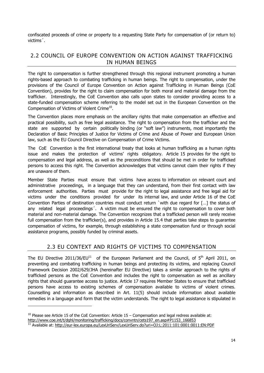confiscated proceeds of crime or property to a requesting State Party for compensation of (or return to) victims´.

# 2.2 COUNCIL OF EUROPE CONVENTION ON ACTION AGAINST TRAFFICKING IN HUMAN BEINGS

The right to compensation is further strengthened through this regional instrument promoting a human rights-based approach to combating trafficking in human beings. The right to compensation, under the provisions of the Council of Europe Convention on Action against Trafficking in Human Beings (CoE Convention), provides for the right to claim compensation for both moral and material damage from the trafficker. Interestingly, the CoE Convention also calls upon states to consider providing access to a state-funded compensation scheme referring to the model set out in the European Convention on the Compensation of Victims of Violent Crime<sup>10</sup>.

The Convention places more emphasis on the ancillary rights that make compensation an effective and practical possibility, such as free legal assistance. The right to compensation from the trafficker and the state are supported by certain politically binding (or "soft law") instruments, most importantly the Declaration of Basic Principles of Justice for Victims of Crime and Abuse of Power and European Union law, such as the EU Council Directive on Compensation of Crime Victims.

The CoE Convention is the first international treaty that looks at human trafficking as a human rights issue and makes the protection of victims' rights obligatory. Article 15 provides for the right to compensation and legal address, as well as the preconditions that should be met in order for trafficked persons to access this right. The Convention acknowledges that victims cannot claim their rights if they are unaware of them.

Member State Parties must ensure that victims have access to information on relevant court and administrative proceedings, in a language that they can understand, from their first contact with law enforcement authorities. Parties must provide for the right to legal assistance and free legal aid for victims under the conditions provided for under its internal law, and under Article 16 of the CoE Convention Parties of destination countries must conduct return `with due regard for […] the status of any related legal proceedings´. A victim must be ensured the right to compensation to cover both material and non-material damage. The Convention recognizes that a trafficked person will rarely receive full compensation from the trafficker(s), and provides in Article 15.4 that parties take steps to quarantee compensation of victims, for example, through establishing a state compensation fund or through social assistance programs, possibly funded by criminal assets.

## 2.3 EU CONTEXT AND RIGHTS OF VICTIMS TO COMPENSATION

The EU Directive 2011/36/EU<sup>11</sup> of the European Parliament and the Council, of  $5<sup>th</sup>$  April 2011, on preventing and combating trafficking in human beings and protecting its victims, and replacing Council Framework Decision 2002/629/JHA (hereinafter EU Directive) takes a similar approach to the rights of trafficked persons as the CoE Convention and includes the right to compensation as well as ancillary rights that should guarantee access to justice. Article 17 requires Member States to ensure that trafficked persons have access to existing schemes of compensation available to victims of violent crimes. Counselling and information as described in Art. 11(5) should include information about available remedies in a language and form that the victim understands. The right to legal assistance is stipulated in

http://www.coe.int/t/dghl/monitoring/trafficking/docs/convntn/cets197\_en.asp#P1153\_166853

 $10$  Please see Article 15 of the CoE Convention: Article 15 – Compensation and legal redress available at:

<sup>11</sup> Available at: http://eur-lex.europa.eu/LexUriServ/LexUriServ.do?uri=OJ:L:2011:101:0001:0011:EN:PDF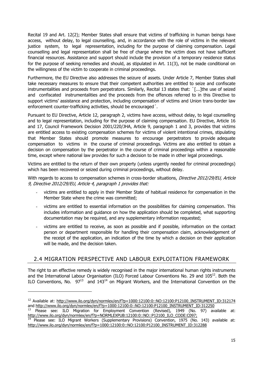Recital 19 and Art. 12(2); Member States shall ensure that victims of trafficking in human beings have access, without delay, to legal counselling, and, in accordance with the role of victims in the relevant justice system, to legal representation, including for the purpose of claiming compensation. Legal counselling and legal representation shall be free of charge where the victim does not have sufficient financial resources. Assistance and support should include the provision of a temporary residence status for the purpose of seeking remedies and should, as stipulated in Art. 11(3), not be made conditional on the willingness of the victim to cooperate in criminal proceedings.

Furthermore, the EU Directive also addresses the seizure of assets. Under Article 7, Member States shall take necessary measures to ensure that their competent authorities are entitled to seize and confiscate instrumentalities and proceeds from perpetrators. Similarly, Recital 13 states that: `[...]the use of seized and confiscated instrumentalities and the proceeds from the offences referred to in this Directive to support victims' assistance and protection, including compensation of victims and Union trans-border law enforcement counter-trafficking activities, should be encouraged´.

Pursuant to EU Directive, Article 12, paragraph 2, victims have access, without delay, to legal counselling and to legal representation, including for the purpose of claiming compensation. EU Directive, Article 16 and 17, Council Framework Decision 2001/220/JHA, Article 9, paragraph 1 and 3, provides that victims are entitled access to existing compensation schemes for victims of violent intentional crimes, stipulating that Member States should promote measures to encourage perpetrators to provide adequate compensation to victims in the course of criminal proceedings. Victims are also entitled to obtain a decision on compensation by the perpetrator in the course of criminal proceedings within a reasonable time, except where national law provides for such a decision to be made in other legal proceedings.

Victims are entitled to the return of their own property (unless urgently needed for criminal proceedings) which has been recovered or seized during criminal proceedings, without delay.

With regards to access to compensation schemes in cross-border situations, Directive 2012/29/EU, Article 9, Directive 2012/29/EU, Article 4, paragraph 1 provides that:

- victims are entitled to apply in their Member State of habitual residence for compensation in the Member State where the crime was committed;
- victims are entitled to essential information on the possibilities for claiming compensation. This includes information and guidance on how the application should be completed, what supporting documentation may be required, and any supplementary information requested;
- victims are entitled to receive, as soon as possible and if possible, information on the contact person or department responsible for handling their compensation claim, acknowledgement of the receipt of the application, an indication of the time by which a decision on their application will be made, and the decision taken.

## 2.4 MIGRATION PERSPECTIVE AND LABOUR EXPLOITATION FRAMEWORK

The right to an effective remedy is widely recognised in the major international human rights instruments and the International Labour Organisation (ILO) Forced Labour Conventions No. 29 and 105<sup>12</sup>. Both the ILO Conventions, No.  $97^{13}$  and  $143^{14}$  on Migrant Workers, and the International Convention on the

<sup>&</sup>lt;sup>12</sup> Available at: http://www.ilo.org/dyn/normlex/en/f?p=1000:12100:0::NO:12100:P12100\_INSTRUMENT\_ID:312174 and http://www.ilo.org/dyn/normlex/en/f?p=1000:12100:0::NO:12100:P12100\_INSTRUMENT\_ID:312250

Please see: ILO Migration for Employment Convention (Revised), 1949 (No. 97) available at: http://www.ilo.org/dyn/normlex/en/f?p=NORMLEXPUB:12100:0::NO::P12100\_ILO\_CODE:C097;

Please see: ILO Migrant Workers (Supplementary Provisions) Convention, 1975 (No. 143) available at: http://www.ilo.org/dyn/normlex/en/f?p=1000:12100:0::NO:12100:P12100\_INSTRUMENT\_ID:312288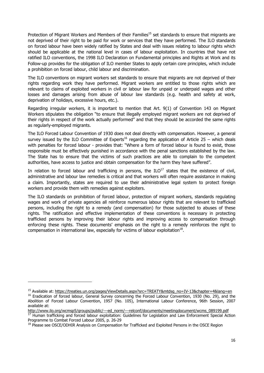Protection of Migrant Workers and Members of their Families<sup>15</sup> set standards to ensure that migrants are not deprived of their right to be paid for work or services that they have performed. The ILO standards on forced labour have been widely ratified by States and deal with issues relating to labour rights which should be applicable at the national level in cases of labour exploitation. In countries that have not ratified ILO conventions, the 1998 ILO Declaration on Fundamental principles and Rights at Work and its Follow-up provides for the obligation of ILO member States to apply certain core principles, which include a prohibition on forced labour, child labour and discrimination.

The ILO conventions on migrant workers set standards to ensure that migrants are not deprived of their rights regarding work they have performed. Migrant workers are entitled to those rights which are relevant to claims of exploited workers in civil or labour law for unpaid or underpaid wages and other losses and damages arising from abuse of labour law standards (e.g. health and safety at work, deprivation of holidays, excessive hours, etc.).

Regarding irregular workers, it is important to mention that Art. 9(1) of Convention 143 on Migrant Workers stipulates the obligation "to ensure that illegally employed migrant workers are not deprived of their rights in respect of the work actually performed" and that they should be accorded the same rights as regularly-employed migrants.

The ILO Forced Labour Convention of 1930 does not deal directly with compensation. However, a general survey issued by the ILO Committee of Experts<sup>16</sup> regarding the application of Article 25 – which deals with penalties for forced labour - provides that: "Where a form of forced labour is found to exist, those responsible must be effectively punished in accordance with the penal sanctions established by the law. The State has to ensure that the victims of such practices are able to complain to the competent authorities, have access to justice and obtain compensation for the harm they have suffered".

In relation to forced labour and trafficking in persons, the  $ILO^{17}$  states that the existence of civil, administrative and labour law remedies is critical and that workers will often require assistance in making a claim. Importantly, states are required to use their administrative legal system to protect foreign workers and provide them with remedies against exploiters.

The ILO standards on prohibition of forced labour, protection of migrant workers, standards regulating wages and work of private agencies all reinforce numerous labour rights that are relevant to trafficked persons, including the right to a remedy (and compensation) for those subjected to abuses of these rights. The ratification and effective implementation of these conventions is necessary in protecting trafficked persons by improving their labour rights and improving access to compensation through enforcing these rights. These documents' emphasis on the right to a remedy reinforces the right to compensation in international law, especially for victims of labour exploitation $^{18}$ .

<sup>&</sup>lt;sup>15</sup> Available at: https://treaties.un.org/pages/ViewDetails.aspx?src=TREATY&mtdsg\_no=IV-13&chapter=4&lang=en

<sup>&</sup>lt;sup>16</sup> Eradication of forced labour, General Survey concerning the Forced Labour Convention, 1930 (No. 29), and the Abolition of Forced Labour Convention, 1957 (No. 105), International Labour Conference, 96th Session, 2007 available at:

http://www.ilo.org/wcmsp5/groups/public/---ed\_norm/---relconf/documents/meetingdocument/wcms\_089199.pdf <sup>17</sup> Human trafficking and forced labour exploitation: Guidelines for Legislation and Law Enforcement Special Action Programme to Combat Forced Labour 2005, p. 26-29

<sup>&</sup>lt;sup>18</sup> Please see OSCE/ODHIR Analysis on Compensation for Trafficked and Exploited Persons in the OSCE Region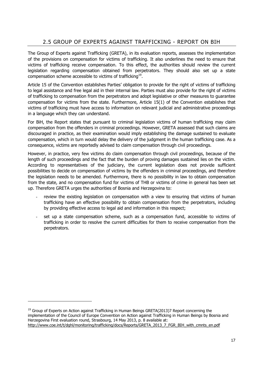# 2.5 GROUP OF EXPERTS AGAINST TRAFFICKING - REPORT ON BIH

The Group of Experts against Trafficking (GRETA), in its evaluation reports, assesses the implementation of the provisions on compensation for victims of trafficking. It also underlines the need to ensure that victims of trafficking receive compensation. To this effect, the authorities should review the current legislation regarding compensation obtained from perpetrators. They should also set up a state compensation scheme accessible to victims of trafficking<sup>19</sup>.

Article 15 of the Convention establishes Parties' obligation to provide for the right of victims of trafficking to legal assistance and free legal aid in their internal law. Parties must also provide for the right of victims of trafficking to compensation from the perpetrators and adopt legislative or other measures to guarantee compensation for victims from the state. Furthermore, Article 15(1) of the Convention establishes that victims of trafficking must have access to information on relevant judicial and administrative proceedings in a language which they can understand.

For BiH, the Report states that pursuant to criminal legislation victims of human trafficking may claim compensation from the offenders in criminal proceedings. However, GRETA assessed that such claims are discouraged in practice, as their examination would imply establishing the damage sustained to evaluate compensation, which in turn would delay the delivery of the judgment in the human trafficking case. As a consequence, victims are reportedly advised to claim compensation through civil proceedings.

However, in practice, very few victims do claim compensation through civil proceedings, because of the length of such proceedings and the fact that the burden of proving damages sustained lies on the victim. According to representatives of the judiciary, the current legislation does not provide sufficient possibilities to decide on compensation of victims by the offenders in criminal proceedings, and therefore the legislation needs to be amended. Furthermore, there is no possibility in law to obtain compensation from the state, and no compensation fund for victims of THB or victims of crime in general has been set up. Therefore GRETA urges the authorities of Bosnia and Herzegovina to:

- review the existing legislation on compensation with a view to ensuring that victims of human trafficking have an effective possibility to obtain compensation from the perpetrators, including by providing effective access to legal aid and information in this respect;
- set up a state compensation scheme, such as a compensation fund, accessible to victims of trafficking in order to resolve the current difficulties for them to receive compensation from the perpetrators.

 $<sup>19</sup>$  Group of Experts on Action against Trafficking in Human Beings GRETA(2013)7 Report concerning the</sup> implementation of the Council of Europe Convention on Action against Trafficking in Human Beings by Bosnia and Herzegovina First evaluation round, Strasbourg, 14 May 2013, p. 8 available at: http://www.coe.int/t/dghl/monitoring/trafficking/docs/Reports/GRETA\_2013\_7\_FGR\_BIH\_with\_cmnts\_en.pdf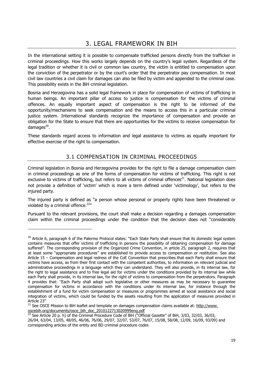In the international setting it is possible to compensate trafficked persons directly from the trafficker in criminal proceedings. How this works largely depends on the country's legal system. Regardless of the legal tradition or whether it is civil or common law country, the victim is entitled to compensation upon the conviction of the perpetrator or by the court's order that the perpetrator pay compensation. In most civil law countries a civil claim for damages can also be filed by victim and appended to the criminal case. This possibility exists in the BiH criminal legislation.

Bosnia and Herzegovina has a solid legal framework in place for compensation of victims of trafficking in human beings. An important pillar of access to justice is compensation for the victims of criminal offences. An equally important aspect of compensation is the right to be informed of the opportunity/mechanisms to seek compensation and the means to access this in a particular criminal justice system. International standards recognize the importance of compensation and provide an obligation for the State to ensure that there are opportunities for the victims to receive compensation for damages $^{20}$ .

These standards regard access to information and legal assistance to victims as equally important for effective exercise of the right to compensation.

# 3.1 COMPENSATION IN CRIMINAL PROCEEDINGS

Criminal legislation in Bosnia and Herzegovina provides for the right to file a damage compensation claim in criminal proceedings as one of the forms of compensation for victims of trafficking. This right is not exclusive to victims of trafficking, but refers to all victims of criminal offences<sup>21</sup>. National legislation does not provide a definition of 'victim' which is more a term defined under 'victimology', but refers to the injured party.

The injured party is defined as "a person whose personal or property rights have been threatened or violated by a criminal offence. $22''$ 

Pursuant to the relevant provisions, the court shall make a decision regarding a damages compensation claim within the criminal proceedings under the condition that the decision does not "considerably

1

<sup>&</sup>lt;sup>20</sup> Article 6, paragraph 6 of the Palermo Protocol states: "Each State Party shall ensure that its domestic legal system contains measures that offer victims of trafficking in persons the possibility of obtaining compensation for damage suffered". The corresponding provision of the Organized Crime Convention, in article 25, paragraph 2, requires that at least some "appropriate procedures" are established to provide access to compensation or restitution. See also Article 15 – Compensation and legal redress of the CoE Convention that prescribes that each Party shall ensure that victims have access, as from their first contact with the competent authorities, to information on relevant judicial and administrative proceedings in a language which they can understand. They will also provide, in its internal law, for the right to legal assistance and to free legal aid for victims under the conditions provided by its internal law while each Party shall provide, in its internal law, for the right of victims to compensation from the perpetrators. Paragraph 4 provides that: ''Each Party shall adopt such legislative or other measures as may be necessary to guarantee compensation for victims in accordance with the conditions under its internal law, for instance through the establishment of a fund for victim compensation or measures or programmes aimed at social assistance and social integration of victims, which could be funded by the assets resulting from the application of measures provided in Article 23''

<sup>&</sup>lt;sup>21</sup> See OSCE Mission to BiH leaflet and template on damages compensation claims available at: http://www. oscebih.org/documents/osce\_bih\_doc\_2010122713020999eng.pdf

<sup>&</sup>lt;sup>22</sup> See Article 20 p. h) of the Criminal Procedure Code of BiH ("Official Gazette" of BiH, 3/03, 32/03, 36/03, 26/04, 63/04, 13/05, 48/05, 46/06, 76/06, 29/07, 32/07, 53/07, 76/07, 15/08, 58/08, 12/09, 16/09, 93/09) and corresponding articles of the entity and BD criminal procedure codes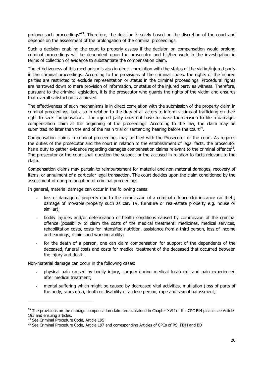prolong such proceedings<sup>"23</sup>. Therefore, the decision is solely based on the discretion of the court and depends on the assessment of the prolongation of the criminal proceedings.

Such a decision enabling the court to properly assess if the decision on compensation would prolong criminal proceedings will be dependent upon the prosecutor and his/her work in the investigation in terms of collection of evidence to substantiate the compensation claim.

The effectiveness of this mechanism is also in direct correlation with the status of the victim/injured party in the criminal proceedings. According to the provisions of the criminal codes, the rights of the injured parties are restricted to exclude representation or status in the criminal proceedings. Procedural rights are narrowed down to mere provision of information, or status of the injured party as witness. Therefore, pursuant to the criminal legislation, it is the prosecutor who guards the rights of the victim and ensures that overall satisfaction is achieved.

The effectiveness of such mechanisms is in direct correlation with the submission of the property claim in criminal proceedings, but also in relation to the duty of all actors to inform victims of trafficking on their right to seek compensation. The injured party does not have to make the decision to file a damages compensation claim at the beginning of the proceedings. According to the law, the claim may be submitted no later than the end of the main trial or sentencing hearing before the court<sup>24</sup>.

Compensation claims in criminal proceedings may be filed with the Prosecutor or the court. As regards the duties of the prosecutor and the court in relation to the establishment of legal facts, the prosecutor has a duty to gather evidence regarding damages compensation claims relevant to the criminal offence<sup>25</sup>. The prosecutor or the court shall question the suspect or the accused in relation to facts relevant to the claim.

Compensation claims may pertain to reimbursement for material and non-material damages, recovery of items, or annulment of a particular legal transaction. The court decides upon the claim conditioned by the assessment of non-prolongation of criminal proceedings.

In general, material damage can occur in the following cases:

- loss or damage of property due to the commission of a criminal offence (for instance car theft; damage of movable property such as car, TV, furniture or real-estate property e.g. house or similar);
- bodily injuries and/or deterioration of health conditions caused by commission of the criminal offence (possibility to claim the costs of the medical treatment: medicines, medical services, rehabilitation costs, costs for intensified nutrition, assistance from a third person, loss of income and earnings, diminished working ability;
- for the death of a person, one can claim compensation for support of the dependents of the deceased, funeral costs and costs for medical treatment of the deceased that occurred between the injury and death.

Non-material damage can occur in the following cases:

- physical pain caused by bodily injury, surgery during medical treatment and pain experienced after medical treatment;
- mental suffering which might be caused by decreased vital activities, mutilation (loss of parts of the body, scars etc.), death or disability of a close person, rape and sexual harassment;

<sup>&</sup>lt;sup>23</sup> The provisions on the damage compensation claim are contained in Chapter XVII of the CPC BiH please see Article 193 and ensuing articles.

<sup>&</sup>lt;sup>24</sup> See Criminal Procedure Code, Article 195

<sup>&</sup>lt;sup>25</sup> See Criminal Procedure Code, Article 197 and corresponding Articles of CPCs of RS, FBiH and BD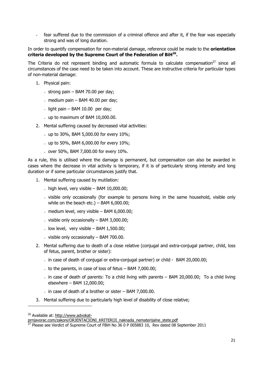fear suffered due to the commission of a criminal offence and after it, if the fear was especially strong and was of long duration.

In order to quantify compensation for non-material damage, reference could be made to the **orientation criteria developed by the Supreme Court of the Federation of BiH26.**

The Criteria do not represent binding and automatic formula to calculate compensation<sup>27</sup> since all circumstances of the case need to be taken into account. These are instructive criteria for particular types of non-material damage:

- 1. Physical pain:
	- strong pain  $-$  BAM 70.00 per day;
	- medium pain  $-$  BAM 40.00 per day;
	- $-$  light pain BAM 10.00 per day;
	- up to maximum of BAM 10,000.00.
- 2. Mental suffering caused by decreased vital activities:
	- up to 30%, BAM 5,000.00 for every 10%;
	- up to 50%, BAM 6,000.00 for every 10%;
	- over 50%, BAM 7,000.00 for every 10%.

As a rule, this is utilised where the damage is permanent, but compensation can also be awarded in cases where the decrease in vital activity is temporary, if it is of particularly strong intensity and long duration or if some particular circumstances justify that.

- 1. Mental suffering caused by mutilation:
	- $-$  high level, very visible BAM 10,000,00;
	- visible only occasionally (for example to persons living in the same household, visible only while on the beach etc.) – BAM  $6,000.00$ ;
	- medium level, very visible  $-$  BAM 6,000,00;
	- visible only occasionally BAM 3,000.00;
	- low level, very visible  $-$  BAM 1,500.00;
	- visible only occasionally  $-$  BAM 700.00.
- 2. Mental suffering due to death of a close relative (conjugal and extra-conjugal partner, child, loss of fetus, parent, brother or sister):
	- in case of death of conjugal or extra-conjugal partner) or child BAM 20,000.00;
	- to the parents, in case of loss of fetus BAM 7,000.00;
	- in case of death of parents: To a child living with parents BAM 20,000.00; To a child living elsewhere – BAM 12,000.00;
	- in case of death of a brother or sister  $-$  BAM 7,000,00.
- 3. Mental suffering due to particularly high level of disability of close relative;

<sup>26</sup> Available at: http://www.advokat-

prnjavorac.com/zakoni/ORJENTACIONI\_KRITERIJI\_naknada\_nematerijalne\_stete.pdf

 $^{27}$  Please see Verdict of Supreme Court of FBiH No 36 0 P 005883 10, Rev dated 08 September 2011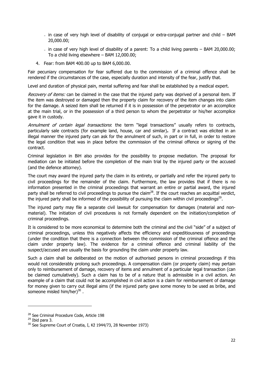- in case of very high level of disability of conjugal or extra-conjugal partner and child BAM 20,000.00;
- in case of very high level of disability of a parent: To a child living parents BAM 20,000.00; To a child living elsewhere – BAM 12,000.00;
- 4. Fear: from BAM 400.00 up to BAM 6,000.00.

Fair pecuniary compensation for fear suffered due to the commission of a criminal offence shall be rendered if the circumstances of the case, especially duration and intensity of the fear, justify that.

Level and duration of physical pain, mental suffering and fear shall be established by a medical expert.

Recovery of items: can be claimed in the case that the injured party was deprived of a personal item. If the item was destroyed or damaged then the property claim for recovery of the item changes into claim for the damage. A seized item shall be returned if it is in possession of the perpetrator or an accomplice at the main trial, or in the possession of a third person to whom the perpetrator or his/her accomplice gave it in custody.

Annulment of certain legal transactions: the term "legal transactions" usually refers to contracts, particularly sale contracts (for example land, house, car and similar)**.** If a contract was elicited in an illegal manner the injured party can ask for the annulment of such, in part or in full, in order to restore the legal condition that was in place before the commission of the criminal offence or signing of the contract.

Criminal legislation in BiH also provides for the possibility to propose mediation. The proposal for mediation can be initiated before the completion of the main trial by the injured party or the accused (and the defence attorney).

The court may award the injured party the claim in its entirety, or partially and refer the injured party to civil proceedings for the remainder of the claim. Furthermore, the law provides that if there is no information presented in the criminal proceedings that warrant an entire or partial award, the injured party shall be referred to civil proceedings to pursue the claim<sup>28</sup>. If the court reaches an acquittal verdict, the injured party shall be informed of the possibility of pursuing the claim within civil proceedings<sup>29</sup>.

The injured party may file a separate civil lawsuit for compensation for damages (material and nonmaterial). The initiation of civil procedures is not formally dependent on the initiation/completion of criminal proceedings.

It is considered to be more economical to determine both the criminal and the civil "side" of a subject of criminal proceedings, unless this negatively affects the efficiency and expeditiousness of proceedings (under the condition that there is a connection between the commission of the criminal offence and the claim under property law). The evidence for a criminal offence and criminal liability of the suspect/accused are usually the basis for grounding the claim under property law.

Such a claim shall be deliberated on the motion of authorised persons in criminal proceedings if this would not considerably prolong such proceedings. A compensation claim (or property claim) may pertain only to reimbursement of damage, recovery of items and annulment of a particular legal transaction (can be claimed cumulatively). Such a claim has to be of a nature that is admissible in a civil action. An example of a claim that could not be accomplished in civil action is a claim for reimbursement of damage for money given to carry out illegal aims (if the injured party gave some money to be used as bribe, and someone misled him/her $3^{30}$ .

<sup>&</sup>lt;sup>28</sup> See Criminal Procedure Code, Article 198

 $29$  Ibid para 3.

<sup>&</sup>lt;sup>30</sup> See Supreme Court of Croatia, I, Kž 1944/73, 28 November 1973)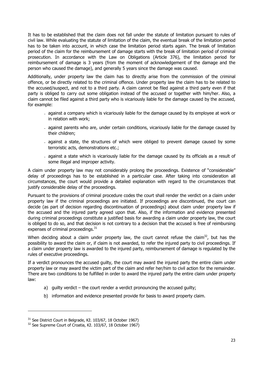It has to be established that the claim does not fall under the statute of limitation pursuant to rules of civil law. While evaluating the statute of limitation of the claim, the eventual break of the limitation period has to be taken into account, in which case the limitation period starts again. The break of limitation period of the claim for the reimbursement of damage starts with the break of limitation period of criminal prosecution. In accordance with the Law on Obligations (Article 376), the limitation period for reimbursement of damage is 3 years (from the moment of acknowledgement of the damage and the person who caused the damage), and generally 5 years since the damage was caused.

Additionally, under property law the claim has to directly arise from the commission of the criminal offence, or be directly related to the criminal offence. Under property law the claim has to be related to the accused/suspect, and not to a third party. A claim cannot be filed against a third party even if that party is obliged to carry out some obligation instead of the accused or together with him/her. Also, a claim cannot be filed against a third party who is vicariously liable for the damage caused by the accused, for example:

- against a company which is vicariously liable for the damage caused by its employee at work or in relation with work;
- against parents who are, under certain conditions, vicariously liable for the damage caused by their children;
- against a state, the structures of which were obliged to prevent damage caused by some terroristic acts, demonstrations etc.;
- against a state which is vicariously liable for the damage caused by its officials as a result of some illegal and improper activity.

A claim under property law may not considerably prolong the proceedings. Existence of "considerable" delay of proceedings has to be established in a particular case. After taking into consideration all circumstances, the court would provide a detailed explanation with regard to the circumstances that justify considerable delay of the proceedings.

Pursuant to the provisions of criminal procedure codes the court shall render the verdict on a claim under property law if the criminal proceedings are initiated. If proceedings are discontinued, the court can decide (as part of decision regarding discontinuation of proceedings) about claim under property law if the accused and the injured party agreed upon that. Also, if the information and evidence presented during criminal proceedings constitute a justified basis for awarding a claim under property law, the court is obliged to do so, and that decision is not contrary to a decision that the accused is free of reimbursing expenses of criminal proceedings.<sup>31</sup>

When deciding about a claim under property law, the court cannot refuse the claim<sup>32</sup>, but has the possibility to award the claim or, if claim is not awarded, to refer the injured party to civil proceedings. If a claim under property law is awarded to the injured party, reimbursement of damage is regulated by the rules of executive proceedings.

If a verdict pronounces the accused guilty, the court may award the injured party the entire claim under property law or may award the victim part of the claim and refer her/him to civil action for the remainder. There are two conditions to be fulfilled in order to award the injured party the entire claim under property law:

- a) guilty verdict the court render a verdict pronouncing the accused guilty;
- b) information and evidence presented provide for basis to award property claim.

<sup>&</sup>lt;sup>31</sup> See District Court in Belgrade, Kž. 103/67, 18 October 1967)

<sup>&</sup>lt;sup>32</sup> See Supreme Court of Croatia, Kž. 103/67, 18 October 1967)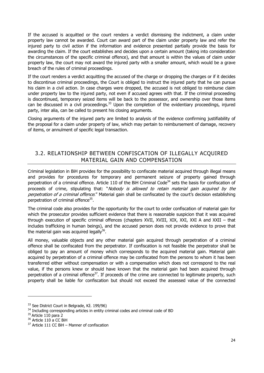If the accused is acquitted or the court renders a verdict dismissing the indictment, a claim under property law cannot be awarded. Court can award part of the claim under property law and refer the injured party to civil action if the information and evidence presented partially provide the basis for awarding the claim. If the court establishes and decides upon a certain amount (taking into consideration the circumstances of the specific criminal offence), and that amount is within the values of claim under property law, the court may not award the injured party with a smaller amount, which would be a grave breach of the rules of criminal proceedings.

If the court renders a verdict acquitting the accused of the charge or dropping the charges or if it decides to discontinue criminal proceedings, the Court is obliged to instruct the injured party that he can pursue his claim in a civil action. In case charges were dropped, the accused is not obliged to reimburse claim under property law to the injured party, not even if accused agrees with that. If the criminal proceeding is discontinued, temporary seized items will be back to the possessor, and ownership over those items can be discussed in a civil proceedings.<sup>33</sup> Upon the completion of the evidentiary proceedings, injured party, inter alia, can be called to present his closing arguments.

Closing arguments of the injured party are limited to analysis of the evidence confirming justifiability of the proposal for a claim under property of law, which may pertain to reimbursement of damage, recovery of items, or annulment of specific legal transaction.

## 3.2. RELATIONSHIP BETWEEN CONFISCATION OF ILLEGALLY ACQUIRED MATERIAL GAIN AND COMPENSATION

Criminal legislation in BiH provides for the possibility to confiscate material acquired through illegal means and provides for procedures for temporary and permanent seizure of property gained through perpetration of a criminal offence. Article 110 of the BiH Criminal Code<sup>34</sup> sets the basis for confiscation of proceeds of crime, stipulating that: "Nobody is allowed to retain material gain acquired by the perpetration of a criminal offence." Material gain shall be confiscated by the court's decision establishing perpetration of criminal offence<sup>35</sup>.

The criminal code also provides for the opportunity for the court to order confiscation of material gain for which the prosecutor provides sufficient evidence that there is reasonable suspicion that it was acquired through execution of specific criminal offences (chapters XVII, XVIII, XIX, XXI, XXI A and XXII – that includes trafficking in human beings), and the accused person does not provide evidence to prove that the material gain was acquired legally $36$ .

All money, valuable objects and any other material gain acquired through perpetration of a criminal offence shall be confiscated from the perpetrator. If confiscation is not feasible the perpetrator shall be obliged to pay an amount of money which corresponds to the acquired material gain. Material gain acquired by perpetration of a criminal offence may be confiscated from the persons to whom it has been transferred either without compensation or with a compensation which does not correspond to the real value, if the persons knew or should have known that the material gain had been acquired through perpetration of a criminal offence<sup>37</sup>. If proceeds of the crime are connected to legitimate property, such property shall be liable for confiscation but should not exceed the assessed value of the connected

<sup>&</sup>lt;sup>33</sup> See District Court in Belgrade, Kž. 199/96)

<sup>&</sup>lt;sup>34</sup> Including corresponding articles in entity criminal codes and criminal code of BD

 $35$  Article 110 para 2

 $36$  Article 110 a CC BiH

 $37$  Article 111 CC BiH – Manner of confiscation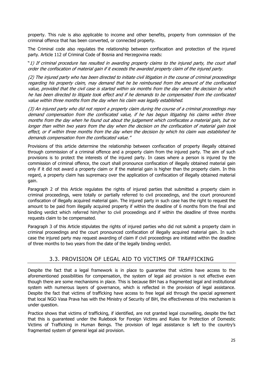property. This rule is also applicable to income and other benefits, property from commission of the criminal offence that has been converted, or connected property.

The Criminal code also regulates the relationship between confiscation and protection of the injured party. Article 112 of Criminal Code of Bosnia and Herzegovina reads:

"1) If criminal procedure has resulted in awarding property claims to the injured party, the court shall order the confiscation of material gain if it exceeds the awarded property claim of the injured party.

(2) The injured party who has been directed to initiate civil litigation in the course of criminal proceedings regarding his property claim, may demand that he be reimbursed from the amount of the confiscated value, provided that the civil case is started within six months from the day when the decision by which he has been directed to litigate took effect and if he demands to be compensated from the confiscated value within three months from the day when his claim was legally established.

(3) An injured party who did not report a property claim during the course of a criminal proceedings may demand compensation from the confiscated value, if he has begun litigating his claims within three months from the day when he found out about the judgement which confiscates a material gain, but no longer than within two years from the day when the decision on the confiscation of material gain took effect, or if within three months from the day when the decision by which his claim was established he demands compensation from the confiscated value."

Provisions of this article determine the relationship between confiscation of property illegally obtained through commission of a criminal offence and a property claim from the injured party. The aim of such provisions is to protect the interests of the injured party. In cases where a person is injured by the commission of criminal offence, the court shall pronounce confiscation of illegally obtained material gain only if it did not award a property claim or if the material gain is higher than the property claim. In this regard, a property claim has supremacy over the application of confiscation of illegally obtained material gain.

Paragraph 2 of this Article regulates the rights of injured parties that submitted a property claim in criminal proceedings, were totally or partially referred to civil proceedings, and the court pronounced confiscation of illegally acquired material gain. The injured party in such case has the right to request the amount to be paid from illegally acquired property if within the deadline of 6 months from the final and binding verdict which referred him/her to civil proceedings and if within the deadline of three months requests claim to be compensated.

Paragraph 3 of this Article stipulates the rights of injured parties who did not submit a property claim in criminal proceedings and the court pronounced confiscation of illegally acquired material gain. In such case the injured party may request awarding of claim if civil proceedings are initiated within the deadline of three months to two years from the date of the legally binding verdict.

## 3.3. PROVISION OF LEGAL AID TO VICTIMS OF TRAFFICKING

Despite the fact that a legal framework is in place to guarantee that victims have access to the aforementioned possibilities for compensation, the system of legal aid provision is not effective even though there are some mechanisms in place. This is because BiH has a fragmented legal and institutional system with numerous layers of governance, which is reflected in the provision of legal assistance. Despite the fact that victims of trafficking have access to free legal aid through the special agreement that local NGO Vasa Prava has with the Ministry of Security of BiH, the effectiveness of this mechanism is under question.

Practice shows that victims of trafficking, if identified, are not granted legal counselling, despite the fact that this is guaranteed under the Rulebook for Foreign Victims and Rules for Protection of Domestic Victims of Trafficking in Human Beings. The provision of legal assistance is left to the country's fragmented system of general legal aid provision.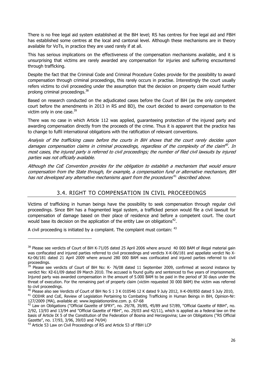There is no free legal aid system established at the BiH level; RS has centres for free legal aid and FBiH has established some centres at the local and cantonal level. Although these mechanisms are in theory available for VoTs, in practice they are used rarely if at all.

This has serious implications on the effectiveness of the compensation mechanisms available, and it is unsurprising that victims are rarely awarded any compensation for injuries and suffering encountered through trafficking.

Despite the fact that the Criminal Code and Criminal Procedure Codes provide for the possibility to award compensation through criminal proceedings, this rarely occurs in practise. Interestingly the court usually refers victims to civil proceeding under the assumption that the decision on property claim would further prolong criminal proceedings.38

Based on research conducted on the adjudicated cases before the Court of BiH (as the only competent court before the amendments in 2013 in RS and BD), the court decided to award compensation to the victim only in one case.<sup>39</sup>

There was no case in which Article 112 was applied, guaranteeing protection of the injured party and awarding compensation directly from the proceeds of the crime. Thus it is apparent that the practice has to change to fulfil international obligations with the ratification of relevant conventions.

Analysis of the trafficking cases before the courts in BiH shows that the court rarely decides upon damages compensation claims in criminal proceedings, regardless of the complexity of the claim<sup>40</sup>. In most cases, the injured party is referred to civil proceedings; the number of filed civil lawsuits by injured parties was not officially available.

Although the CoE Convention provides for the obligation to establish a mechanism that would ensure compensation from the State through, for example, a compensation fund or alternative mechanism, BiH has not developed any alternative mechanisms apart from the procedures $^{41}$  described above.

# 3.4. RIGHT TO COMPENSATION IN CIVIL PROCEEDINGS

Victims of trafficking in human beings have the possibility to seek compensation through regular civil proceedings. Since BiH has a fragmented legal system, a trafficked person would file a civil lawsuit for compensation of damage based on their place of residence and before a competent court. The court would base its decision on the application of the entity Law on obligations<sup>42</sup>.

A civil proceeding is initiated by a complaint. The complaint must contain: <sup>43</sup>

1

<sup>&</sup>lt;sup>38</sup> Please see verdicts of Court of BiH K-71/05 dated 25 April 2006 where around 40 000 BAM of illegal material gain was confiscated and injured parties referred to civil proceedings and verdicts X-K-06/181 and appellate verdict No X-Kz-06/181 dated 21 April 2009 where around 280 000 BAM was confiscated and injured parties referred to civil proceedings.

<sup>&</sup>lt;sup>39</sup> Please see verdicts of Court of BiH No: K- 76/08 dated 11 September 2009, confirmed at second instance by verdict No: Kž-61/09 dated 09 March 2010. The accused is found guilty and sentenced to five years of imprisonment. Injured party was awarded compensation in the amount of 5.000 BAM to be paid in the period of 30 days under the threat of execution. For the remaining part of property claim (victim requested 30 000 BAM) the victim was referred

to civil proceedings.<br><sup>40</sup> Please also see Verdicts of Court of BiH No S 1 3 K 010546 12 K dated 9 July 2012, X-K-09/850 dated 5 July 2010,

<sup>&</sup>lt;sup>41</sup> ODIHR and CoE, Review of Legislation Pertaining to Combating Trafficking in Human Beings in BiH, Opinion-Nr: 127/2009 (MA), available at: www.legislationonline.com. p. 67-68<br><sup>42</sup> Law on Obligations ("Official Gazette of SFRY", no. 29/78, 39/85, 45/89 and 57/89, "Official Gazette of RBiH", no.

<sup>2/92, 13/93</sup> and 13/94 and "Official Gazette of FBiH", no. 29/03 and 42/11), which is applied as a federal law on the basis of Article IX 5 of the Constitution of the Federation of Bosnia and Herzegovina; Law on Obligations ("RS Official Gazette", no. 17/93, 3/96, 39/03 and 74/04)

<sup>&</sup>lt;sup>43</sup> Article 53 Law on Civil Proceedings of RS and Article 53 of FBiH LCP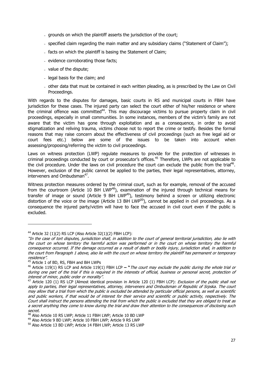- grounds on which the plaintiff asserts the jurisdiction of the court;
- specified claim regarding the main matter and any subsidiary claims ("Statement of Claim");
- facts on which the plaintiff is basing the Statement of Claim;
- evidence corroborating those facts;
- value of the dispute;
- legal basis for the claim; and
- other data that must be contained in each written pleading, as is prescribed by the Law on Civil Proceedings.

With regards to the disputes for damages, basic courts in RS and municipal courts in FBiH have jurisdiction for these cases. The injured party can select the court either of his/her residence or where the criminal offence was committed<sup>44</sup>. This may discourage victims to pursue property claim in civil proceedings, especially in small communities. In some instances, members of the victim's family are not aware that the victim has gone through exploitation and as a consequence, in order to avoid stigmatization and reliving trauma, victims choose not to report the crime or testify. Besides the formal reasons that may raise concern about the effectiveness of civil proceedings (such as free legal aid or court fees etc.) below are some of the issues to be taken into account when assessing/proposing/referring the victim to civil proceedings.

Laws on witness protection (LWP) regulate measures to provide for the protection of witnesses in criminal proceedings conducted by court or prosecutor's offices.<sup>45</sup> Therefore, LWPs are not applicable to the civil procedure. Under the laws on civil procedure the court can exclude the public from the trial<sup>46</sup>. However, exclusion of the public cannot be applied to the parties, their legal representatives, attorney, interveners and Ombudsman<sup>47</sup>.

Witness protection measures ordered by the criminal court, such as for example, removal of the accused from the courtroom (Article 10 BiH LWP<sup>48</sup>), examination of the injured through technical means for transfer of image or sound (Article 9 BiH LWP<sup>49</sup>), testimony behind a screen or utilizing electronic distortion of the voice or the image (Article 13 BiH LWP $^{50}$ ), cannot be applied in civil proceedings. As a consequence the injured party/victim will have to face the accused in civil court even if the public is excluded.

1

<sup>&</sup>lt;sup>44</sup> Article 32 (1)(2) RS LCP (Also Article 32(1)(2) FBiH LCP):

<sup>&</sup>quot;In the case of tort disputes, jurisdiction shall, in addition to the court of general territorial jurisdiction, also lie with the court on whose territory the harmful action was performed or in the court on whose territory the harmful consequence occurred. If the damage occurred as a result of death or bodily injury, jurisdiction shall, in addition to the court from Paragraph 1 above, also lie with the court on whose territory the plaintiff has permanent or temporary residence".

<sup>&</sup>lt;sup>45</sup> Article 1 of BD, RS, FBiH and BiH LWPs

<sup>46</sup> Article 119(1) RS LCP and Article 119(1) FBiH LCP **– "**The court may exclude the public during the whole trial or during one part of the trial if this is required in the interests of official, business or personal secret, protection of interest of minor, public order or morality".

<sup>&</sup>lt;sup>47</sup> Article 120 (1) RS LCP (Almost identical provision in Article 120 (1) FBiH LCP): Exclusion of the public shall not apply to parties, their legal representatives, attorney, interveners and Ombudsman of Republic of Srpska. The court may allow that a trial from which the public is excluded be attended by particular official persons, as well as scientific and public workers, if that would be of interest for their service and scientific or public activity, respectively. The Court shall instruct the persons attending the trial from which the public is excluded that they are obliged to treat as a secret anything they come to know during the trial and draw their attention to the consequences of disclosing such secret.

<sup>48</sup> Also Article 10 RS LWP; Article 11 FBiH LWP; Article 10 BD LWP

<sup>49</sup> Also Article 9 BD LWP; Article 10 FBiH LWP; Article 9 RS LWP

<sup>50</sup> Also Article 13 BD LWP; Article 14 FBiH LWP; Article 13 RS LWP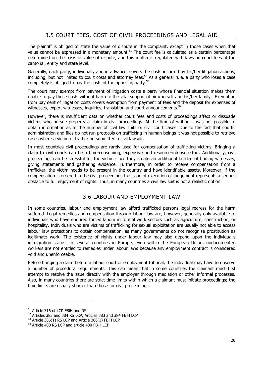# 3.5 COURT FEES, COST OF CIVIL PROCEEDINGS AND LEGAL AID

The plaintiff is obliged to state the value of dispute in the complaint, except in those cases when that value cannot be expressed in a monetary amount.<sup>51</sup> The court fee is calculated as a certain percentage determined on the basis of value of dispute, and this matter is regulated with laws on court fees at the cantonal, entity and state level.

Generally, each party, individually and in advance, covers the costs incurred by his/her litigation actions, including, but not limited to court costs and attorney fees.<sup>52</sup> As a general rule, a party who loses a case completely is obliged to pay the costs of the opposing party. $53$ 

The court may exempt from payment of litigation costs a party whose financial situation makes them unable to pay those costs without harm to the vital support of him/herself and his/her family. Exemption from payment of litigation costs covers exemption from payment of fees and the deposit for expenses of witnesses, expert witnesses, inquiries, translation and court announcements.<sup>54</sup>

However, there is insufficient data on whether court fees and costs of proceedings affect or dissuade victims who pursue property a claim in civil proceedings. At the time of writing it was not possible to obtain information as to the number of civil law suits or civil court cases. Due to the fact that courts' administration and files do not run protocols on trafficking in human beings it was not possible to retrieve cases where a victim of trafficking submitted a civil lawsuit.

In most countries civil proceedings are rarely used for compensation of trafficking victims. Bringing a claim to civil courts can be a time-consuming, expensive and resource-intense effort. Additionally, civil proceedings can be stressful for the victim since they create an additional burden of finding witnesses, giving statements and gathering evidence. Furthermore, in order to receive compensation from a trafficker, the victim needs to be present in the country and have identifiable assets. Moreover, if the compensation is ordered in the civil proceedings the issue of execution of judgement represents a serious obstacle to full enjoyment of rights. Thus, in many countries a civil law suit is not a realistic option.

### 3.6 LABOUR AND EMPLOYMENT LAW

In some countries, labour and employment law afford trafficked persons legal redress for the harm suffered. Legal remedies and compensation through labour law are, however, generally only available to individuals who have endured forced labour in formal work sectors such as agriculture, construction, or hospitality. Individuals who are victims of trafficking for sexual exploitation are usually not able to access labour law protections to obtain compensation, as many governments do not recognise prostitution as legitimate work. The existence of rights under labour law may also depend upon the individual's immigration status. In several countries in Europe, even within the European Union, undocumented workers are not entitled to remedies under labour laws because any employment contract is considered void and unenforceable.

Before bringing a claim before a labour court or employment tribunal, the individual may have to observe a number of procedural requirements. This can mean that in some countries the claimant must first attempt to resolve the issue directly with the employer through mediation or other informal processes. Also, in many countries there are strict time limits within which a claimant must initiate proceedings; the time limits are usually shorter than those for civil proceedings.

<sup>&</sup>lt;sup>51</sup> Article 316 of LCP FBiH and RS

<sup>52</sup> Articles 383 and 384 RS LCP; Articles 383 and 384 FBiH LCP

 $53$  Article 386(1) RS LCP and Article 386(1) FBiH LCP  $54$  Article 400 RS LCP and article 400 FBiH LCP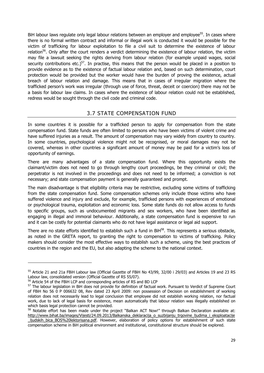BiH labour laws regulate only legal labour relations between an employer and employee<sup>55</sup>. In cases where there is no formal written contract and informal or illegal work is conducted it would be possible for the victim of trafficking for labour exploitation to file a civil suit to determine the existence of labour relation<sup>56</sup>. Only after the court renders a verdict determining the existence of labour relation, the victim may file a lawsuit seeking the rights deriving from labour relation (for example unpaid wages, social security contributions etc.)<sup>57</sup>. In practise, this means that the person would be placed in a position to provide evidence as to the existence of factual labour relation and, based on such determination, court protection would be provided but the worker would have the burden of proving the existence, actual breach of labour relation and damage. This means that in cases of irregular migration where the trafficked person's work was irregular (through use of force, threat, deceit or coercion) there may not be a basis for labour law claims. In cases where the existence of labour relation could not be established, redress would be sought through the civil code and criminal code.

### 3.7 STATE COMPENSATION FUND

In some countries it is possible for a trafficked person to apply for compensation from the state compensation fund. State funds are often limited to persons who have been victims of violent crime and have suffered injuries as a result. The amount of compensation may vary widely from country to country. In some countries, psychological violence might not be recognised, or moral damages may not be covered, whereas in other countries a significant amount of money may be paid for a victim's loss of opportunity of earnings.

There are many advantages of a state compensation fund. Where this opportunity exists the claimant/victim does not need to go through lengthy court proceedings, be they criminal or civil; the perpetrator is not involved in the proceedings and does not need to be informed; a conviction is not necessary; and state compensation payment is generally guaranteed and prompt.

The main disadvantage is that eligibility criteria may be restrictive, excluding some victims of trafficking from the state compensation fund. Some compensation schemes only include those victims who have suffered violence and injury and exclude, for example, trafficked persons with experiences of emotional or psychological trauma, exploitation and economic loss. Some state funds do not allow access to funds to specific groups, such as undocumented migrants and sex workers, who have been identified as engaging in illegal and immoral behaviour. Additionally, a state compensation fund is expensive to run and it can be costly for potential claimants who do not have legal assistance or legal aid support.

There are no state efforts identified to establish such a fund in BiH<sup>58</sup>. This represents a serious obstacle, as noted in the GRETA report, to granting the right to compensation to victims of trafficking. Policy makers should consider the most effective ways to establish such a scheme, using the best practices of countries in the region and the EU, but also adapting the scheme to the national context.

1

<sup>&</sup>lt;sup>55</sup> Article 21 and 21a FBiH Labour law (Official Gazette of FBiH No 43/99, 32/00 i 29/03) and Articles 19 and 23 RS Labour law, consolidated version (Official Gazette of RS 55/07).

<sup>&</sup>lt;sup>56</sup> Article 54 of the FBiH LCP and corresponding articles of RS and BD LCP

<sup>&</sup>lt;sup>57</sup> The labour legislation in BiH does not provide for definition of factual work. Pursuant to Verdict of Supreme Court of FBiH No 56 0 P 006632 08, Rev dated 23 April 2009: non possession of Decision on establishment of working relation does not necessarily lead to legal conclusion that employee did not establish working relation, nor factual work, due to lack of legal basis for existence, mean automatically that labour relation was illegally established on which basis legal protection cannot be provided.

<sup>58</sup> Notable effort has been made under the project "Balkan ACT Now!" through Balkan Declaration available at: http://www.bihat.ba/images/Vijesti/24.09.2013/Balkanska deklaracija o suzbijanju trgovine ljudima i eksploatacije ljudskih bica BOS%20lektorisana.pdf. However, elaboration of policy options for establishment of such state compensation scheme in BiH political environment and institutional, constitutional structure should be explored.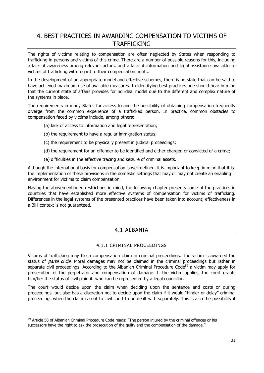# 4. BEST PRACTICES IN AWARDING COMPENSATION TO VICTIMS OF TRAFFICKING

The rights of victims relating to compensation are often neglected by States when responding to trafficking in persons and victims of this crime. There are a number of possible reasons for this, including a lack of awareness among relevant actors, and a lack of information and legal assistance available to victims of trafficking with regard to their compensation rights.

In the development of an appropriate model and effective schemes, there is no state that can be said to have achieved maximum use of available measures. In identifying best practices one should bear in mind that the current state of affairs provides for no ideal model due to the different and complex nature of the systems in place.

The requirements in many States for access to and the possibility of obtaining compensation frequently diverge from the common experience of a trafficked person. In practice, common obstacles to compensation faced by victims include, among others:

- (a) lack of access to information and legal representation;
- (b) the requirement to have a regular immigration status;
- (c) the requirement to be physically present in judicial proceedings;
- (d) the requirement for an offender to be identified and either charged or convicted of a crime;
- (e) difficulties in the effective tracing and seizure of criminal assets.

Although the international basis for compensation is well defined, it is important to keep in mind that it is the implementation of these provisions in the domestic settings that may or may not create an enabling environment for victims to claim compensation.

Having the abovementioned restrictions in mind, the following chapter presents some of the practices in countries that have established more effective systems of compensation for victims of trafficking. Differences in the legal systems of the presented practices have been taken into account; effectiveness in a BiH context is not guaranteed.

### 4.1 ALBANIA

#### 4.1.1 CRIMINAL PROCEEDINGS

Victims of trafficking may file a compensation claim in criminal proceedings. The victim is awarded the status of *parte civile*. Moral damages may not be claimed in the criminal proceedings but rather in separate civil proceedings. According to the Albanian Criminal Procedure Code<sup>59</sup> a victim may apply for prosecution of the perpetrator and compensation of damage. If the victim applies, the court grants him/her the status of civil plaintiff who can be represented by a legal councillor.

The court would decide upon the claim when deciding upon the sentence and costs or during proceedings, but also has a discretion not to decide upon the claim if it would "hinder or delay" criminal proceedings when the claim is sent to civil court to be dealt with separately. This is also the possibility if

<sup>&</sup>lt;sup>59</sup> Article 58 of Albanian Criminal Procedure Code reads: "The person injured by the criminal offences or his successors have the right to ask the prosecution of the guilty and the compensation of the damage."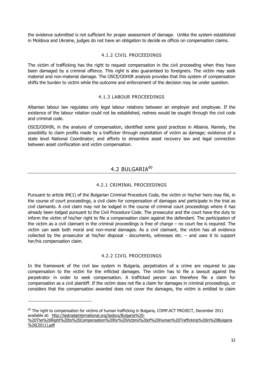the evidence submitted is not sufficient for proper assessment of damage. Unlike the system established in Moldova and Ukraine, judges do not have an obligation to decide ex officio on compensation claims.

#### 4.1.2 CIVIL PROCEEDINGS

The victim of trafficking has the right to request compensation in the civil proceeding when they have been damaged by a criminal offence. This right is also guaranteed to foreigners. The victim may seek material and non-material damage. The OSCE/ODHIR analysis provides that this system of compensation shifts the burden to victim while the outcome and enforcement of the decision may be under question.

#### 4.1.3 LABOUR PROCEEDINGS

Albanian labour law regulates only legal labour relations between an employer and employee. If the existence of the labour relation could not be established, redress would be sought through the civil code and criminal code.

OSCE/ODHIR, in the analysis of compensation, identified some good practices in Albania. Namely, the possibility to claim profits made by a trafficker through exploitation of victim as damage; existence of a state level National Coordinator; and efforts to streamline asset recovery law and legal connection between asset confiscation and victim compensation.

### 4.2 BULGARIA<sup>60</sup>

#### 4.2.1 CRIMINAL PROCEEDINGS

Pursuant to article 84(1) of the Bulgarian Criminal Procedure Code, the victim or his/her heirs may file, in the course of court proceedings, a civil claim for compensation of damages and participate in the trial as civil claimants. A civil claim may not be lodged in the course of criminal court proceedings where it has already been lodged pursuant to the Civil Procedure Code. The prosecutor and the court have the duty to inform the victim of his/her right to file a compensation claim against the defendant. The participation of the victim as a civil claimant in the criminal proceedings is free of charge – no court fee is required. The victim can seek both moral and non-moral damages. As a civil claimant, the victim has all evidence collected by the prosecutor at his/her disposal - documents, witnesses etc. – and uses it to support her/his compensation claim.

#### 4.2.2 CIVIL PROCEEDINGS

In the framework of the civil law system in Bulgaria, perpetrators of a crime are required to pay compensation to the victim for the inflicted damages. The victim has to file a lawsuit against the perpetrator in order to seek compensation. A trafficked person can therefore file a claim for compensation as a civil plaintiff. If the victim does not file a claim for damages in criminal proceedings, or considers that the compensation awarded does not cover the damages, the victim is entitled to claim

 $^{60}$  The right to compensation for victims of human trafficking in Bulgaria, COMP.ACT PROJECT, December 2011 available at: http://lastradainternational.org/lsidocs/Bulgaria%20-

<sup>%20</sup>The%20Right%20to%20Compensation%20for%20Victims%20of%20Human%20Trafficking%20in%20Bulgaria %20(2011).pdf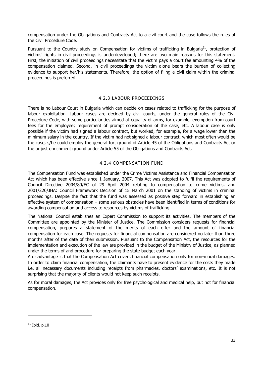compensation under the Obligations and Contracts Act to a civil court and the case follows the rules of the Civil Procedure Code.

Pursuant to the Country study on Compensation for victims of trafficking in Bulgaria<sup>61</sup>, protection of victims' rights in civil proceedings is underdeveloped; there are two main reasons for this statement. First, the initiation of civil proceedings necessitate that the victim pays a court fee amounting 4% of the compensation claimed. Second, in civil proceedings the victim alone bears the burden of collecting evidence to support her/his statements. Therefore, the option of filing a civil claim within the criminal proceedings is preferred.

#### 4.2.3 LABOUR PROCEEDINGS

There is no Labour Court in Bulgaria which can decide on cases related to trafficking for the purpose of labour exploitation. Labour cases are decided by civil courts, under the general rules of the Civil Procedure Code, with some particularities aimed at equality of arms, for example, exemption from court fees for the employee; requirement of prompt consideration of the case, etc. A labour case is only possible if the victim had signed a labour contract, but worked, for example, for a wage lower than the minimum salary in the country. If the victim had not signed a labour contract, which most often would be the case, s/he could employ the general tort ground of Article 45 of the Obligations and Contracts Act or the unjust enrichment ground under Article 55 of the Obligations and Contracts Act.

#### 4.2.4 COMPENSATION FUND

The Compensation Fund was established under the Crime Victims Assistance and Financial Compensation Act which has been effective since 1 January, 2007. This Act was adopted to fulfil the requirements of Council Directive 2004/80/EC of 29 April 2004 relating to compensation to crime victims, and 2001/220/JHA: Council Framework Decision of 15 March 2001 on the standing of victims in criminal proceedings. Despite the fact that the fund was assessed as positive step forward in establishing an effective system of compensation – some serious obstacles have been identified in terms of conditions for awarding compensation and access to resources by victims of trafficking.

The National Council establishes an Expert Commission to support its activities. The members of the Committee are appointed by the Minister of Justice. The Commission considers requests for financial compensation, prepares a statement of the merits of each offer and the amount of financial compensation for each case. The requests for financial compensation are considered no later than three months after of the date of their submission. Pursuant to the Compensation Act, the resources for the implementation and execution of the law are provided in the budget of the Ministry of Justice, as planned under the terms of and procedure for preparing the state budget each year.

A disadvantage is that the Compensation Act covers financial compensation only for non-moral damages. In order to claim financial compensation, the claimants have to present evidence for the costs they made i.e. all necessary documents including receipts from pharmacies, doctors' examinations, etc. It is not surprising that the majority of clients would not keep such receipts.

As for moral damages, the Act provides only for free psychological and medical help, but not for financial compensation.

 $61$  Ibid. p.10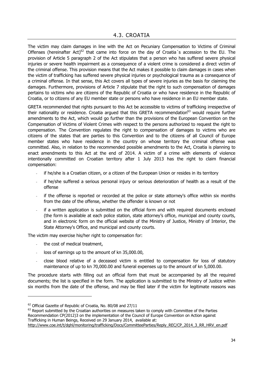The victim may claim damages in line with the Act on Pecuniary Compensation to Victims of Criminal Offenses (hereinafter Act)<sup>62</sup> that came into force on the day of Croatia's accession to the EU. The provision of Article 5 paragraph 2 of the Act stipulates that a person who has suffered severe physical injuries or severe health impairment as a consequence of a violent crime is considered a direct victim of the criminal offense. This provision means that the Act makes it possible to claim damages in cases when the victim of trafficking has suffered severe physical injuries or psychological trauma as a consequence of a criminal offense. In that sense, this Act covers all types of severe injuries as the basis for claiming the damages. Furthermore, provisions of Article 7 stipulate that the right to such compensation of damages pertains to victims who are citizens of the Republic of Croatia or who have residence in the Republic of Croatia, or to citizens of any EU member state or persons who have residence in an EU member state.

GRETA recommended that rights pursuant to this Act be accessible to victims of trafficking irrespective of their nationality or residence. Croatia argued that this GRETA recommendation<sup>63</sup> would require further amendments to the Act, which would go further than the provisions of the European Convention on the Compensation of Victims of Violent Crimes with respect to the persons authorized to request the right to compensation. The Convention regulates the right to compensation of damages to victims who are citizens of the states that are parties to this Convention and to the citizens of all Council of Europe member states who have residence in the country on whose territory the criminal offense was committed. Also, in relation to the recommended possible amendments to the Act, Croatia is planning to enact amendments to this Act at the end of 2014. A victim of a crime with elements of violence intentionally committed on Croatian territory after 1 July 2013 has the right to claim financial compensation:

- if he/she is a Croatian citizen, or a citizen of the European Union or resides in its territory
- if he/she suffered a serious personal injury or serious deterioration of health as a result of the offense
- if the offense is reported or recorded at the police or state attorney's office within six months from the date of the offense, whether the offender is known or not
- if a written application is submitted on the official form and with required documents enclosed (the form is available at each police station, state attorney's office, municipal and county courts, and in electronic form on the official website of the Ministry of Justice, Ministry of Interior, the State Attorney's Office, and municipal and county courts.

The victim may exercise his/her right to compensation for:

the cost of medical treatment,

-

- loss of earnings up to the amount of kn 35,000.00,
- close blood relative of a deceased victim is entitled to compensation for loss of statutory maintenance of up to kn 70,000.00 and funeral expenses up to the amount of kn 5,000.00.

The procedure starts with filling out an official form that must be accompanied by all the required documents; the list is specified in the form. The application is submitted to the Ministry of Justice within six months from the date of the offense, and may be filed later if the victim for legitimate reasons was

<sup>&</sup>lt;sup>62</sup> Official Gazette of Republic of Croatia, No. 80/08 and 27/11

 $63$  Report submitted by the Croatian authorities on measures taken to comply with Committee of the Parties Recommendation CP(2012)3 on the implementation of the Council of Europe Convention on Action against Trafficking in Human Beings, Received on 29 January 2014, available at:

http://www.coe.int/t/dghl/monitoring/trafficking/Docs/CommitteeParties/Reply\_REC/CP\_2014\_3\_RR\_HRV\_en.pdf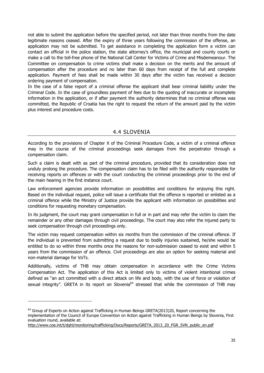not able to submit the application before the specified period, not later than three months from the date legitimate reasons ceased. After the expiry of three years following the commission of the offense, an application may not be submitted. To get assistance in completing the application form a victim can contact an official in the police station, the state attorney's office, the municipal and county courts or make a call to the toll-free phone of the National Call Center for Victims of Crime and Misdemeanour. The Committee on compensation to crime victims shall make a decision on the merits and the amount of compensation after the procedure and no later than 60 days from receipt of the full and complete application. Payment of fees shall be made within 30 days after the victim has received a decision ordering payment of compensation.

In the case of a false report of a criminal offense the applicant shall bear criminal liability under the Criminal Code. In the case of groundless payment of fees due to the quoting of inaccurate or incomplete information in the application, or if after payment the authority determines that no criminal offense was committed, the Republic of Croatia has the right to request the return of the amount paid by the victim plus interest and procedure costs.

### 4.4 SLOVENIA

According to the provisions of Chapter X of the Criminal Procedure Code, a victim of a criminal offence may in the course of the criminal proceedings seek damages from the perpetrator through a compensation claim.

Such a claim is dealt with as part of the criminal procedure, provided that its consideration does not unduly prolong the procedure. The compensation claim has to be filed with the authority responsible for receiving reports on offences or with the court conducting the criminal proceedings prior to the end of the main hearing in the first instance court.

Law enforcement agencies provide information on possibilities and conditions for enjoying this right. Based on the individual request, police will issue a certificate that the offence is reported or enlisted as a criminal offence while the Ministry of Justice provide the applicant with information on possibilities and conditions for requesting monetary compensation.

In its judgment, the court may grant compensation in full or in part and may refer the victim to claim the remainder or any other damages through civil proceedings. The court may also refer the injured party to seek compensation through civil proceedings only.

The victim may request compensation within six months from the commission of the criminal offence. If the individual is prevented from submitting a request due to bodily injuries sustained, he/she would be entitled to do so within three months once the reasons for non-submission ceased to exist and within 5 years from the commission of an offence. Civil proceedings are also an option for seeking material and non-material damage for VoTs.

Additionally, victims of THB may obtain compensation in accordance with the Crime Victims Compensation Act. The application of this Act is limited only to victims of violent intentional crimes defined as "an act committed with a direct attack on life and body, with the use of force or violation of sexual integrity". GRETA in its report on Slovenia<sup>64</sup> stressed that while the commission of THB may

 $64$  Group of Experts on Action against Trafficking in Human Beings GRETA(2013)20, Report concerning the implementation of the Council of Europe Convention on Action against Trafficking in Human Beings by Slovenia, First evaluation round, available at:

http://www.coe.int/t/dghl/monitoring/trafficking/Docs/Reports/GRETA\_2013\_20\_FGR\_SVN\_public\_en.pdf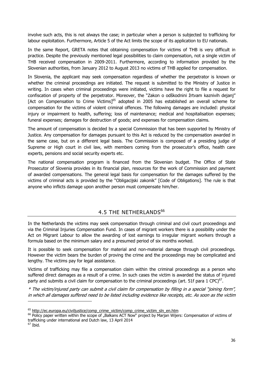involve such acts, this is not always the case; in particular when a person is subjected to trafficking for labour exploitation. Furthermore, Article 5 of the Act limits the scope of its application to EU nationals.

In the same Report, GRETA notes that obtaining compensation for victims of THB is very difficult in practice. Despite the previously mentioned legal possibilities to claim compensation, not a single victim of THB received compensation in 2009-2011. Furthermore, according to information provided by the Slovenian authorities, from January 2012 to August 2013 no victims of THB applied for compensation.

In Slovenia, the applicant may seek compensation regardless of whether the perpetrator is known or whether the criminal proceedings are initiated. The request is submitted to the Ministry of Justice in writing. In cases when criminal proceedings were initiated, victims have the right to file a request for confiscation of property of the perpetrator. Moreover, the "Zakon o odškodnini žrtvam kaznivih dejanj" [Act on Compensation to Crime Victims]<sup>65</sup> adopted in 2005 has established an overall scheme for compensation for the victims of violent criminal offences. The following damages are included: physical injury or impairment to health, suffering; loss of maintenance; medical and hospitalisation expenses; funeral expenses; damages for destruction of goods; and expenses for compensation claims.

The amount of compensation is decided by a special Commission that has been supported by Ministry of Justice. Any compensation for damages pursuant to this Act is reduced by the compensation awarded in the same case, but on a different legal basis. The Commission is composed of a presiding judge of Supreme or High court in civil law, with members coming from the prosecutor's office, health care experts, pensions and social security experts etc.

The national compensation program is financed from the Slovenian budget. The Office of State Prosecutor of Slovenia provides in its financial plan, resources for the work of Commission and payment of awarded compensations. The general legal basis for compensation for the damages suffered by the victims of criminal acts is provided by the "Obligacijski zakonik" [Code of Obligations]. The rule is that anyone who inflicts damage upon another person must compensate him/her.

### 4.5 THE NETHERLANDS<sup>66</sup>

In the Netherlands the victims may seek compensation through criminal and civil court proceedings and via the Criminal Injuries Compensation Fund. In cases of migrant workers there is a possibility under the Act on Migrant Labour to allow the awarding of lost earnings to irregular migrant workers through a formula based on the minimum salary and a presumed period of six months worked.

It is possible to seek compensation for material and non-material damage through civil proceedings. However the victim bears the burden of proving the crime and the proceedings may be complicated and lengthy. The victims pay for legal assistance.

Victims of trafficking may file a compensation claim within the criminal proceedings as a person who suffered direct damages as a result of a crime. In such cases the victim is awarded the status of injured party and submits a civil claim for compensation to the criminal proceedings (art. 51f para 1 CPC) $^{67}$ .

\* The victim/injured party can submit a civil claim for compensation by filling in a special "joining form", in which all damages suffered need to be listed including evidence like receipts, etc. As soon as the victim

 $67$  Ibid.

<sup>&</sup>lt;sup>65</sup> http://ec.europa.eu/civiljustice/comp\_crime\_victim/comp\_crime\_victim\_sln\_en.htm

<sup>&</sup>lt;sup>66</sup> Policy paper written within the scope of "Balkans ACT Now" project by Marjan Wijers: Compensation of victims of trafficking under international and Dutch law, 13 April 2014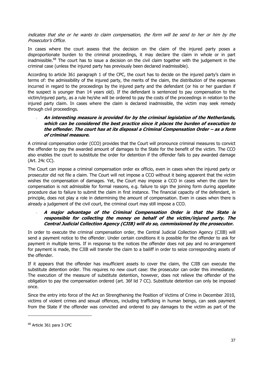indicates that she or he wants to claim compensation, the form will be send to her or him by the Prosecutor's Office.

In cases where the court assess that the decision on the claim of the injured party poses a disproportionate burden to the criminal proceedings, it may declare the claim in whole or in part inadmissible.<sup>68</sup> The court has to issue a decision on the civil claim together with the judgement in the criminal case (unless the injured party has previously been declared inadmissible).

According to article 361 paragraph 1 of the CPC, the court has to decide on the injured party's claim in terms of: the admissibility of the injured party, the merits of the claim, the distribution of the expenses incurred in regard to the proceedings by the injured party and the defendant (or his or her guardian if the suspect is younger than 14 years old). If the defendant is sentenced to pay compensation to the victim/injured party, as a rule he/she will be ordered to pay the costs of the proceedings in relation to the injured party claim. In cases where the claim is declared inadmissible, the victim may seek remedy through civil proceedings.

- **An interesting measure is provided for by the criminal legislation of the Netherlands, which can be considered the best practice since it places the burden of execution to the offender. The court has at its disposal a Criminal Compensation Order – as a form of criminal measure.** 

A criminal compensation order (CCO) provides that the Court will pronounce criminal measures to convict the offender to pay the awarded amount of damages to the State for the benefit of the victim. The CCO also enables the court to substitute the order for detention if the offender fails to pay awarded damage (Art. 24c CC).

The Court can impose a criminal compensation order ex officio, even in cases when the injured party or prosecutor did not file a claim. The Court will not impose a CCO without it being apparent that the victim wishes the compensation of damages. Yet, the Court may impose a CCO in cases when the claim for compensation is not admissible for formal reasons, e.g. failure to sign the joining form during appellate procedure due to failure to submit the claim in first instance. The financial capacity of the defendant, in principle, does not play a role in determining the amount of compensation. Even in cases when there is already a judgement of the civil court, the criminal court may still impose a CCO.

#### - **A major advantage of the Criminal Compensation Order is that the State is responsible for collecting the money on behalf of the victim/injured party. The Central Judicial Collection Agency (CJIB) will do so, commissioned by the prosecutor.**

In order to execute the criminal compensation order, the Central Judicial Collection Agency (CJIB) will send a payment notice to the offender. Under certain conditions it is possible for the offender to ask for payment in multiple terms. If in response to the notices the offender does not pay and no arrangement for payment is made, the CJIB will transfer the claim to a bailiff in order to seize corresponding assets of the offender.

If it appears that the offender has insufficient assets to cover the claim, the CJIB can execute the substitute detention order. This requires no new court case: the prosecutor can order this immediately. The execution of the measure of substitute detention, however, does not relieve the offender of the obligation to pay the compensation ordered (art. 36f lid 7 CC). Substitute detention can only be imposed once.

Since the entry into force of the Act on Strengthening the Position of Victims of Crime in December 2010, victims of violent crimes and sexual offences, including trafficking in human beings, can seek payment from the State if the offender was convicted and ordered to pay damages to the victim as part of the

<sup>68</sup> Article 361 para 3 CPC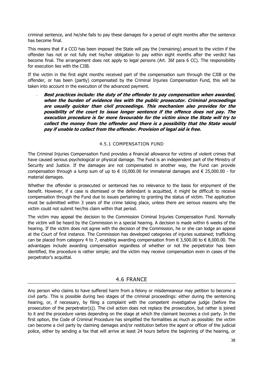criminal sentence, and he/she fails to pay these damages for a period of eight months after the sentence has become final.

This means that if a CCO has been imposed the State will pay the (remaining) amount to the victim if the offender has not or not fully met his/her obligation to pay within eight months after the verdict has become final. The arrangement does not apply to legal persons (Art. 36f para 6 CC). The responsibility for execution lies with the CJIB.

If the victim in the first eight months received part of the compensation sum through the CJIB or the offender, or has been (partly) compensated by the Criminal Injuries Compensation Fund, this will be taken into account in the execution of the advanced payment.

- **Best practices include: the duty of the offender to pay compensation when awarded, when the burden of evidence lies with the public prosecutor. Criminal proceedings are usually quicker than civil proceedings. This mechanism also provides for the possibility of the court to issue longer sentence if the offence does not pay. The execution procedure is far more favourable for the victim since the State will try to collect the money from the offender and there is a possibility that the State would pay if unable to collect from the offender. Provision of legal aid is free.** 

#### 4.5.1 COMPENSATION FUND

The Criminal Injuries Compensation Fund provides a financial allowance for victims of violent crimes that have caused serious psychological or physical damage. The Fund is an independent part of the Ministry of Security and Justice. If the damages are not compensated in another way, the Fund can provide compensation through a lump sum of up to  $\epsilon$  10,000.00 for immaterial damages and  $\epsilon$  25,000.00 - for material damages.

Whether the offender is prosecuted or sentenced has no relevance to the basis for enjoyment of the benefit. However, if a case is dismissed or the defendant is acquitted, it might be difficult to receive compensation through the Fund due to issues pertaining to granting the status of victim. The application must be submitted within 3 years of the crime taking place, unless there are serious reasons why the victim could not submit her/his claim within that period.

The victim may appeal the decision to the Commission Criminal Injuries Compensation Fund. Normally the victim will be heard by the Commission in a special hearing. A decision is made within 6 weeks of the hearing. If the victim does not agree with the decision of the Commission, he or she can lodge an appeal at the Court of first instance. The Commission has developed categories of injuries sustained; trafficking can be placed from category 4 to 7, enabling awarding compensation from  $\epsilon$  3,500.00 to  $\epsilon$  8,000.00. The advantages include awarding compensation regardless of whether or not the perpetrator has been identified, the procedure is rather simple; and the victim may receive compensation even in cases of the perpetrator's acquittal.

#### 4.6 FRANCE

Any person who claims to have suffered harm from a felony or misdemeanour may petition to become a civil party. This is possible during two stages of the criminal proceedings: either during the sentencing hearing, or, if necessary, by filing a complaint with the competent investigative judge (before the prosecution of the perpetrator(s)). The civil action does not replace the prosecution, but rather is joined to it and the procedure varies depending on the stage at which the claimant becomes a civil party. In the first option, the Code of Criminal Procedure has simplified the formalities as much as possible: the victim can become a civil party by claiming damages and/or restitution before the agent or officer of the judicial police, either by sending a fax that will arrive at least 24 hours before the beginning of the hearing, or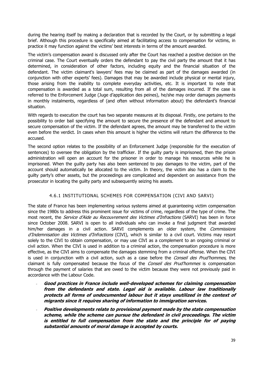during the hearing itself by making a declaration that is recorded by the Court, or by submitting a legal brief. Although this procedure is specifically aimed at facilitating access to compensation for victims, in practice it may function against the victims' best interests in terms of the amount awarded.

The victim's compensation award is discussed only after the Court has reached a positive decision on the criminal case. The Court eventually orders the defendant to pay the civil party the amount that it has determined, in consideration of other factors, including equity and the financial situation of the defendant. The victim claimant's lawyers' fees may be claimed as part of the damages awarded (in conjunction with other experts' fees). Damages that may be awarded include physical or mental injury, those arising from the inability to complete everyday activities, etc. It is important to note that compensation is awarded as a total sum, resulting from all of the damages incurred. If the case is referred to the Enforcement Judge (Juge d'application des peines), he/she may order damages payments in monthly instalments, regardless of (and often without information about) the defendant's financial situation.

With regards to execution the court has two separate measures at its disposal. Firstly, one pertains to the possibility to order bail specifying the amount to secure the presence of the defendant and amount to secure compensation of the victim. If the defendant agrees, the amount may be transferred to the victim even before the verdict. In cases when this amount is higher the victims will return the difference to the accused.

The second option relates to the possibility of an Enforcement Judge (responsible for the execution of sentences) to oversee the obligation by the trafficker. If the guilty party is imprisoned, then the prison administration will open an account for the prisoner in order to manage his resources while he is imprisoned. When the guilty party has also been sentenced to pay damages to the victim, part of the account should automatically be allocated to the victim. In theory, the victim also has a claim to the guilty party's other assets, but the proceedings are complicated and dependent on assistance from the prosecutor in locating the guilty party and subsequently seizing his assets.

#### 4.6.1 INSTITUTIONAL SCHEMES FOR COMPENSATION (CIVI AND SARVI)

The state of France has been implementing various systems aimed at guaranteeing victim compensation since the 1980s to address this prominent issue for victims of crime, regardless of the type of crime. The most recent, the *Service d'Aide au Recouvrement des Victimes d'Infractions* (SARVI) has been in force since October 2008. SARVI is open to all individuals who can invoke a final judgment that awarded him/her damages in a civil action. SARVI complements an older system, the Commissions d'Indemnisation des Victimes d'Infractions (CIVI), which is similar to a civil court. Victims may resort solely to the CIVI to obtain compensation, or may use CIVI as a complement to an ongoing criminal or civil action. When the CIVI is used in addition to a criminal action, the compensation procedure is more effective, as the CIVI aims to compensate the damages stemming from a criminal offense. When the CIVI is used in conjunction with a civil action, such as a case before the Conseil des Prud'hommes, the claimant is fully compensated because the focus of the *Conseil des Prud'hommes* is compensation through the payment of salaries that are owed to the victim because they were not previously paid in accordance with the Labour Code.

- **Good practices in France include well-developed schemes for claiming compensation from the defendants and state. Legal aid is available. Labour law traditionally protects all forms of undocumented labour but it stays unutilized in the context of migrants since it requires sharing of information to immigration services.**
- **Positive developments relate to provisional payment made by the state compensation scheme, while the scheme can pursue the defendant in civil proceedings. The victim is entitled to full compensation from the state and the principle for of paying substantial amounts of moral damage is accepted by courts.**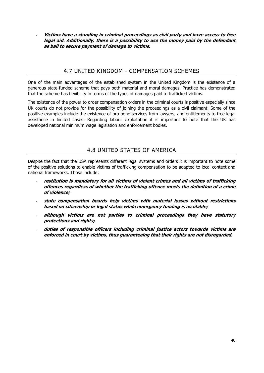- **Victims have a standing in criminal proceedings as civil party and have access to free legal aid. Additionally, there is a possibility to use the money paid by the defendant as bail to secure payment of damage to victims.** 

### 4.7 UNITED KINGDOM - COMPENSATION SCHEMES

One of the main advantages of the established system in the United Kingdom is the existence of a generous state-funded scheme that pays both material and moral damages. Practice has demonstrated that the scheme has flexibility in terms of the types of damages paid to trafficked victims.

The existence of the power to order compensation orders in the criminal courts is positive especially since UK courts do not provide for the possibility of joining the proceedings as a civil claimant. Some of the positive examples include the existence of pro bono services from lawyers, and entitlements to free legal assistance in limited cases. Regarding labour exploitation it is important to note that the UK has developed national minimum wage legislation and enforcement bodies.

## 4.8 UNITED STATES OF AMERICA

Despite the fact that the USA represents different legal systems and orders it is important to note some of the positive solutions to enable victims of trafficking compensation to be adapted to local context and national frameworks. Those include:

- **restitution is mandatory for all victims of violent crimes and all victims of trafficking offences regardless of whether the trafficking offence meets the definition of a crime of violence;**
- **state compensation boards help victims with material losses without restrictions based on citizenship or legal status while emergency funding is available;**
- **although victims are not parties to criminal proceedings they have statutory protections and rights;**
- duties of responsible officers including criminal justice actors towards victims are **enforced in court by victims, thus guaranteeing that their rights are not disregarded.**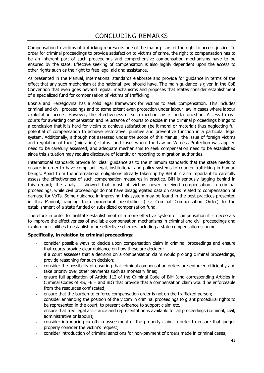# CONCLUDING REMARKS

Compensation to victims of trafficking represents one of the major pillars of the right to access justice. In order for criminal proceedings to provide satisfaction to victims of crime, the right to compensation has to be an inherent part of such proceedings and comprehensive compensation mechanisms have to be ensured by the state. Effective seeking of compensation is also highly dependent upon the access to other rights such as the right to free legal aid and assistance.

As presented in the Manual, international standards elaborate and provide for guidance in terms of the effect that any such mechanism at the national level should have. The main guidance is given in the CoE Convention that even goes beyond regular mechanisms and proposes that States consider establishment of a specialized fund for compensation of victims of trafficking.

Bosnia and Herzegovina has a solid legal framework for victims to seek compensation. This includes criminal and civil proceedings and to some extent even protection under labour law in cases where labour exploitation occurs. However, the effectiveness of such mechanisms is under question. Access to civil courts for awarding compensation and reluctance of courts to decide in the criminal proceedings brings to a conclusion that it is hard for victim to achieve satisfaction (be it moral or material) thus neglecting full potential of compensation to achieve restorative, punitive and preventive function in a particular legal system. Additionally, although not assessed under the scope of this Manual, the issue of foreign victims and regulation of their (migration) status and cases where the Law on Witness Protection was applied need to be carefully assessed, and adequate mechanisms to seek compensation need to be established since this situation may require disclosure of identity or reporting to migration authorities.

International standards provide for clear guidance as to the minimum standards that the state needs to ensure in order to have compliant legal, institutional and policy systems to counter trafficking in human beings. Apart from the international obligations already taken up by BiH it is also important to carefully assess the effectiveness of such compensation measures in practice. BiH is seriously lagging behind in this regard; the analysis showed that most of victims never received compensation in criminal proceedings, while civil proceedings do not have disaggregated data on cases related to compensation of damage for VoTs. Some guidance in improving this system may be found in the best practices presented in this Manual, ranging from procedural possibilities (like Criminal Compensation Order) to the establishment of a state funded or subsidized compensation fund.

Therefore in order to facilitate establishment of a more effective system of compensation it is necessary to improve the effectiveness of available compensation mechanisms in criminal and civil proceedings and explore possibilities to establish more effective schemes including a state compensation scheme.

#### **Specifically, in relation to criminal proceedings:**

- consider possible ways to decide upon compensation claim in criminal proceedings and ensure that courts provide clear guidance on how these are decided;
- if a court assesses that a decision on a compensation claim would prolong criminal proceedings, provide reasoning for such decision;
- consider the possibility of ensuring that criminal compensation orders are enforced efficiently and take priority over other payments such as monetary fines;
- ensure full application of Article 112 of the Criminal Code of BiH (and corresponding Articles in Criminal Codes of RS, FBiH and BD) that provide that a compensation claim would be enforceable from the resources confiscated;
- ensure that the burden to enforce compensation order is not on the trafficked person;
- consider enhancing the position of the victim in criminal proceedings to grant procedural rights to be represented in the court, to present evidence to support claim etc.
- ensure that free legal assistance and representation is available for all proceedings (criminal, civil, administrative or labour);
- consider introducing ex officio assessment of the property claim in order to ensure that judges properly consider the victim's request;
- consider introduction of criminal sanctions for non-payment of orders made in criminal cases;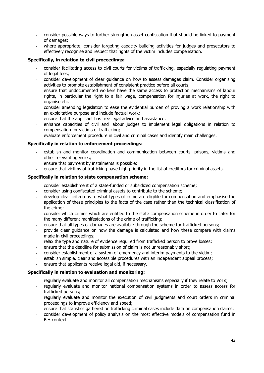- consider possible ways to further strengthen asset confiscation that should be linked to payment of damages;
- where appropriate, consider targeting capacity building activities for judges and prosecutors to effectively recognise and respect that rights of the victim includes compensation.

#### **Specifically, in relation to civil proceedings:**

- consider facilitating access to civil courts for victims of trafficking, especially regulating payment of legal fees;
- consider development of clear guidance on how to assess damages claim. Consider organising activities to promote establishment of consistent practice before all courts;
- ensure that undocumented workers have the same access to protection mechanisms of labour rights, in particular the right to a fair wage, compensation for injuries at work, the right to organise etc.
- consider amending legislation to ease the evidential burden of proving a work relationship with an exploitative purpose and include factual work;
- ensure that the applicant has free legal advice and assistance;
- enhance capacities of civil and labour judges to implement legal obligations in relation to compensation for victims of trafficking;
- evaluate enforcement procedure in civil and criminal cases and identify main challenges.

#### **Specifically in relation to enforcement proceedings:**

- establish and monitor coordination and communication between courts, prisons, victims and other relevant agencies;
- ensure that payment by instalments is possible;
- ensure that victims of trafficking have high priority in the list of creditors for criminal assets.

#### **Specifically in relation to state compensation scheme:**

- consider establishment of a state-funded or subsidized compensation scheme;
- consider using confiscated criminal assets to contribute to the scheme;
- develop clear criteria as to what types of crime are eligible for compensation and emphasise the application of these principles to the facts of the case rather than the technical classification of the crime;
- consider which crimes which are entitled to the state compensation scheme in order to cater for the many different manifestations of the crime of trafficking;
- ensure that all types of damages are available through the scheme for trafficked persons;
- provide clear guidance on how the damage is calculated and how these compare with claims made in civil proceedings;
- relax the type and nature of evidence required from trafficked person to prove losses;
- ensure that the deadline for submission of claim is not unreasonably short;
- consider establishment of a system of emergency and interim payments to the victim;
- establish simple, clear and accessible procedures with an independent appeal process;
- ensure that applicants receive legal aid, if necessary.

#### **Specifically in relation to evaluation and monitoring:**

- regularly evaluate and monitor all compensation mechanisms especially if they relate to VoTs;
- regularly evaluate and monitor national compensation systems in order to assess access for trafficked persons;
- regularly evaluate and monitor the execution of civil judgments and court orders in criminal proceedings to improve efficiency and speed;
- ensure that statistics gathered on trafficking criminal cases include data on compensation claims;
- consider development of policy analysis on the most effective models of compensation fund in BiH context.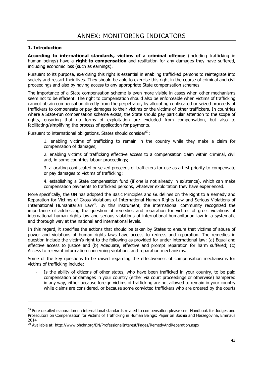#### **1. Introduction**

-

**According to international standards, victims of a criminal offence** (including trafficking in human beings) have a **right to compensation** and restitution for any damages they have suffered, including economic loss (such as earnings).

Pursuant to its purpose, exercising this right is essential in enabling trafficked persons to reintegrate into society and restart their lives. They should be able to exercise this right in the course of criminal and civil proceedings and also by having access to any appropriate State compensation schemes.

The importance of a State compensation scheme is even more visible in cases when other mechanisms seem not to be efficient. The right to compensation should also be enforceable when victims of trafficking cannot obtain compensation directly from the perpetrator, by allocating confiscated or seized proceeds of traffickers to compensate or pay damages to their victims or the victims of other traffickers. In countries where a State-run compensation scheme exists, the State should pay particular attention to the scope of rights, ensuring that no forms of exploitation are excluded from compensation, but also to facilitating/simplifying the process of application for payments.

Pursuant to international obligations, States should consider<sup>69</sup>:

1. enabling victims of trafficking to remain in the country while they make a claim for compensation of damages;

2. enabling victims of trafficking effective access to a compensation claim within criminal, civil and, in some countries labour proceedings;

3. allocating confiscated or seized proceeds of traffickers for use as a first priority to compensate or pay damages to victims of trafficking;

4. establishing a State compensation fund (if one is not already in existence), which can make compensation payments to trafficked persons, whatever exploitation they have experienced.

More specifically, the UN has adopted the Basic Principles and Guidelines on the Right to a Remedy and Reparation for Victims of Gross Violations of International Human Rights Law and Serious Violations of International Humanitarian Law<sup>70</sup>. By this instrument, the international community recognized the importance of addressing the question of remedies and reparation for victims of gross violations of international human rights law and serious violations of international humanitarian law in a systematic and thorough way at the national and international levels.

In this regard, it specifies the actions that should be taken by States to ensure that victims of abuse of power and violations of human rights laws have access to redress and reparation. The remedies in question include the victim's right to the following as provided for under international law: (a) Equal and effective access to justice and (b) Adequate, effective and prompt reparation for harm suffered; (c) Access to relevant information concerning violations and reparation mechanisms.

Some of the key questions to be raised regarding the effectiveness of compensation mechanisms for victims of trafficking include:

Is the ability of citizens of other states, who have been trafficked in your country, to be paid compensation or damages in your country (either via court proceedings or otherwise) hampered in any way, either because foreign victims of trafficking are not allowed to remain in your country while claims are considered, or because some convicted traffickers who are ordered by the courts

<sup>&</sup>lt;sup>69</sup> Fore detailed elaboration on international standards related to compensation please see: Handbook for Judges and Prosecutors on Compensation for Victims of Trafficking in Human Beings: Paper on Bosnia and Herzegovina, Emmaus 2014

<sup>&</sup>lt;sup>70</sup> Available at: http://www.ohchr.org/EN/ProfessionalInterest/Pages/RemedyAndReparation.aspx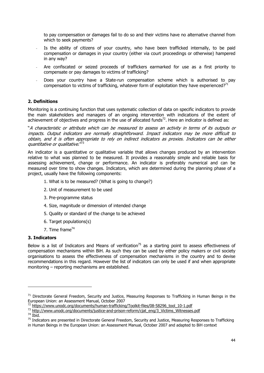to pay compensation or damages fail to do so and their victims have no alternative channel from which to seek payments?

- Is the ability of citizens of your country, who have been trafficked internally, to be paid compensation or damages in your country (either via court proceedings or otherwise) hampered in any way?
- Are confiscated or seized proceeds of traffickers earmarked for use as a first priority to compensate or pay damages to victims of trafficking?
- Does your country have a State-run compensation scheme which is authorised to pay compensation to victims of trafficking, whatever form of exploitation they have experienced?<sup>71</sup>

#### **2. Definitions**

Monitoring is a continuing function that uses systematic collection of data on specific indicators to provide the main stakeholders and managers of an ongoing intervention with indications of the extent of achievement of objectives and progress in the use of allocated funds<sup>72</sup>. Here an indicator is defined as:

"A characteristic or attribute which can be measured to assess an activity in terms of its outputs or impacts. Output indicators are normally straightforward. Impact indicators may be more difficult to obtain, and it is often appropriate to rely on indirect indicators as proxies. Indicators can be either quantitative or qualitative."<sup>73</sup>

An indicator is a quantitative or qualitative variable that allows changes produced by an intervention relative to what was planned to be measured. It provides a reasonably simple and reliable basis for assessing achievement, change or performance. An indicator is preferably numerical and can be measured over time to show changes. Indicators, which are determined during the planning phase of a project, usually have the following components:

- 1. What is to be measured? (What is going to change?)
- 2. Unit of measurement to be used
- 3. Pre-programme status
- 4. Size, magnitude or dimension of intended change
- 5. Quality or standard of the change to be achieved
- 6. Target populations(s)
- 7. Time frame<sup>74</sup>

#### **3. Indicators**

Below is a list of Indicators and Means of verification<sup>75</sup> as a starting point to assess effectiveness of compensation mechanisms within BiH. As such they can be used by either policy makers or civil society organisations to assess the effectiveness of compensation mechanisms in the country and to devise recommendations in this regard. However the list of indicators can only be used if and when appropriate monitoring – reporting mechanisms are established.

 $71$  Directorate General Freedom, Security and Justice, Measuring Responses to Trafficking in Human Beings in the European Union: an Assessment Manual, October 2007<br><sup>72</sup> https://www.unodc.org/documents/human-trafficking/Toolkit-files/08-58296\_tool\_10-1.pdf

<sup>73</sup> http://www.unodc.org/documents/justice-and-prison-reform/cjat\_eng/3\_Victims\_Witnesses.pdf<br><sup>74</sup> Ibid.

<sup>&</sup>lt;sup>75</sup> Indicators are presented in Directorate General Freedom, Security and Justice, Measuring Responses to Trafficking in Human Beings in the European Union: an Assessment Manual, October 2007 and adapted to BiH context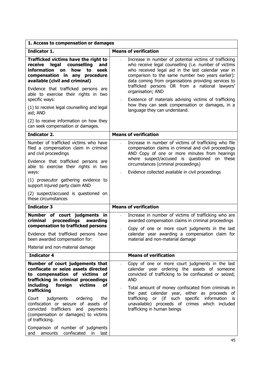| Indicator 1.<br>Trafficked victims have the right to<br>counselling<br>legal<br>receive<br>and<br>information<br>how<br>to<br>seek<br><b>on</b>                                                                                                                             | <b>Means of verification</b><br>Increase in number of potential victims of trafficking                                                                                                                                                                                                           |
|-----------------------------------------------------------------------------------------------------------------------------------------------------------------------------------------------------------------------------------------------------------------------------|--------------------------------------------------------------------------------------------------------------------------------------------------------------------------------------------------------------------------------------------------------------------------------------------------|
|                                                                                                                                                                                                                                                                             |                                                                                                                                                                                                                                                                                                  |
| compensation in any procedure<br>available (civil and criminal)<br>Evidence that trafficked persons are                                                                                                                                                                     | who receive legal counselling (i.e. number of victims<br>who received legal aid in the last calendar year in<br>comparison to the same number two years earlier):<br>data coming from organisations providing services to<br>trafficked persons OR from a national lawyers'<br>organisation; AND |
| able to exercise their rights in two<br>specific ways:<br>(1) to receive legal counselling and legal                                                                                                                                                                        | Existence of materials advising victims of trafficking<br>how they can seek compensation or damages, in a<br>language they can understand.                                                                                                                                                       |
| aid; AND<br>(2) to receive information on how they<br>can seek compensation or damages.                                                                                                                                                                                     |                                                                                                                                                                                                                                                                                                  |
| <b>Indicator 2.</b>                                                                                                                                                                                                                                                         | <b>Means of verification</b>                                                                                                                                                                                                                                                                     |
| Number of trafficked victims who have<br>filed a compensation claim in criminal<br>and civil proceedings<br>Evidence that trafficked persons are                                                                                                                            | Increase in number of victims of trafficking who file<br>$\overline{a}$<br>compensation claims in criminal and civil proceedings<br>AND Copy of one or more minutes from hearings<br>where suspect/accused is questioned on these<br>circumstances (criminal proceedings)                        |
| able to exercise their rights in two<br>ways:                                                                                                                                                                                                                               | Evidence collected available in civil proceedings                                                                                                                                                                                                                                                |
| (1) prosecutor gathering evidence to<br>support injured party claim AND                                                                                                                                                                                                     |                                                                                                                                                                                                                                                                                                  |
| (2) suspect/accused is questioned on<br>these circumstances                                                                                                                                                                                                                 |                                                                                                                                                                                                                                                                                                  |
| <b>Indicator 3</b>                                                                                                                                                                                                                                                          | <b>Means of verification</b>                                                                                                                                                                                                                                                                     |
| Number of court judgments in<br>proceedings awarding<br>criminal<br>compensation to trafficked persons                                                                                                                                                                      | Increase in number of victims of trafficking who are<br>awarded compensation claims in criminal proceedings<br>Copy of one or more court judgments in the last                                                                                                                                   |
| Evidence that trafficked persons have<br>been awarded compensation for:                                                                                                                                                                                                     | calendar year awarding a compensation claim for<br>material and non-material damage                                                                                                                                                                                                              |
| Material and non-material damage                                                                                                                                                                                                                                            |                                                                                                                                                                                                                                                                                                  |
| <b>Indicator 4</b>                                                                                                                                                                                                                                                          | <b>Means of verification</b>                                                                                                                                                                                                                                                                     |
| Number of court judgements that<br>confiscate or seize assets directed<br>to compensation of victims of<br>trafficking in criminal proceedings<br>including<br>foreign<br>victims<br><b>of</b>                                                                              | Copy of one or more court judgments in the last<br>calendar year ordering the assets of someone<br>convicted of trafficking to be confiscated or seized;<br><b>AND</b>                                                                                                                           |
| trafficking<br>judgments<br>ordering<br>Court<br>the<br>confiscation or seizure of assets of<br>convicted traffickers and<br>payments<br>(compensation or damages) to victims<br>of trafficking.<br>Comparison of number of judgments<br>amounts confiscated in last<br>and | Total amount of money confiscated from criminals in<br>the past calendar year, either as proceeds of<br>such<br>trafficking<br>or (if<br>specific information<br>is.<br>unavailable) proceeds of crimes which included<br>trafficking in human beings                                            |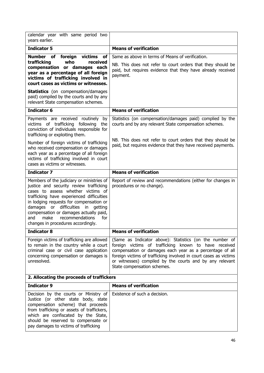| calendar year with same period two<br>years earlier.                                                                                                                                                                                                                                                                                                                                 |                                                                                                                                                                                                                                                                                                                                              |
|--------------------------------------------------------------------------------------------------------------------------------------------------------------------------------------------------------------------------------------------------------------------------------------------------------------------------------------------------------------------------------------|----------------------------------------------------------------------------------------------------------------------------------------------------------------------------------------------------------------------------------------------------------------------------------------------------------------------------------------------|
| <b>Indicator 5</b>                                                                                                                                                                                                                                                                                                                                                                   | <b>Means of verification</b>                                                                                                                                                                                                                                                                                                                 |
| Number<br>of foreign<br>victims<br>оf<br>who<br>trafficking<br>received<br>compensation or damages each<br>year as a percentage of all foreign<br>victims of trafficking involved in<br>court cases as victims or witnesses.<br><b>Statistics</b> (on compensation/damages<br>paid) compiled by the courts and by any                                                                | Same as above in terms of Means of verification.<br>NB. This does not refer to court orders that they should be<br>paid, but requires evidence that they have already received<br>payment.                                                                                                                                                   |
| relevant State compensation schemes.<br><b>Indicator 6</b>                                                                                                                                                                                                                                                                                                                           | <b>Means of verification</b>                                                                                                                                                                                                                                                                                                                 |
|                                                                                                                                                                                                                                                                                                                                                                                      |                                                                                                                                                                                                                                                                                                                                              |
| Payments are received routinely<br>by<br>victims of trafficking following<br>the<br>conviction of individuals responsible for<br>trafficking or exploiting them.                                                                                                                                                                                                                     | Statistics (on compensation/damages paid) complied by the<br>courts and by any relevant State compensation schemes.                                                                                                                                                                                                                          |
| Number of foreign victims of trafficking<br>who received compensation or damages<br>each year as a percentage of all foreign<br>victims of trafficking involved in court<br>cases as victims or witnesses.                                                                                                                                                                           | NB. This does not refer to court orders that they should be<br>paid, but requires evidence that they have received payments.                                                                                                                                                                                                                 |
| <b>Indicator 7</b>                                                                                                                                                                                                                                                                                                                                                                   | <b>Means of verification</b>                                                                                                                                                                                                                                                                                                                 |
| Members of the judiciary or ministries of<br>justice and security review trafficking<br>cases to assess whether victims of<br>trafficking have experienced difficulties<br>in lodging requests for compensation or<br>damages or difficulties in<br>getting<br>compensation or damages actually paid,<br>recommendations<br>make<br>for<br>and<br>changes in procedures accordingly. | Report of review and recommendations (either for changes in<br>procedures or no change).                                                                                                                                                                                                                                                     |
| <b>Indicator 8</b>                                                                                                                                                                                                                                                                                                                                                                   | <b>Means of verification</b>                                                                                                                                                                                                                                                                                                                 |
| Foreign victims of trafficking are allowed<br>to remain in the country while a court<br>criminal case or civil case application<br>concerning compensation or damages is<br>unresolved.                                                                                                                                                                                              | (Same as Indicator above): Statistics (on the number of<br>foreign victims of trafficking known to have received<br>compensation or damages each year as a percentage of all<br>foreign victims of trafficking involved in court cases as victims<br>or witnesses) compiled by the courts and by any relevant<br>State compensation schemes. |
| 2. Allocating the proceeds of traffickers                                                                                                                                                                                                                                                                                                                                            |                                                                                                                                                                                                                                                                                                                                              |
| <b>Indicator 9</b>                                                                                                                                                                                                                                                                                                                                                                   | <b>Means of verification</b>                                                                                                                                                                                                                                                                                                                 |
| Decision by the courts or Ministry of<br>Justice (or other state body, state<br>compensation scheme) that proceeds<br>from trafficking or assets of traffickers,<br>which are confiscated by the State,<br>should be reserved to compensate or<br>pay damages to victims of trafficking                                                                                              | Existence of such a decision.                                                                                                                                                                                                                                                                                                                |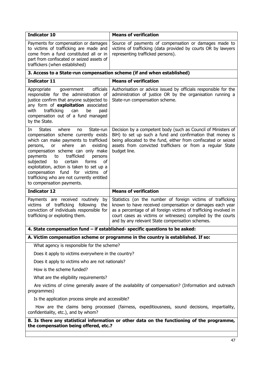| <b>Indicator 10</b>                                                                                                                                                                                                                                                                                                                                                                                                                                                    | <b>Means of verification</b>                                                                                                                                                                                                                                                                                   |  |  |  |  |
|------------------------------------------------------------------------------------------------------------------------------------------------------------------------------------------------------------------------------------------------------------------------------------------------------------------------------------------------------------------------------------------------------------------------------------------------------------------------|----------------------------------------------------------------------------------------------------------------------------------------------------------------------------------------------------------------------------------------------------------------------------------------------------------------|--|--|--|--|
| Payments for compensation or damages<br>to victims of trafficking are made and<br>come from a fund constituted all or in<br>part from confiscated or seized assets of<br>traffickers (when established)                                                                                                                                                                                                                                                                | Source of payments of compensation or damages made to<br>victims of trafficking (data provided by courts OR by lawyers<br>representing trafficked persons).                                                                                                                                                    |  |  |  |  |
|                                                                                                                                                                                                                                                                                                                                                                                                                                                                        | 3. Access to a State-run compensation scheme (if and when established)                                                                                                                                                                                                                                         |  |  |  |  |
| <b>Indicator 11</b>                                                                                                                                                                                                                                                                                                                                                                                                                                                    | <b>Means of verification</b>                                                                                                                                                                                                                                                                                   |  |  |  |  |
| officials<br>Appropriate<br>government<br>responsible for the administration of<br>justice confirm that anyone subjected to<br>any form of exploitation associated<br>trafficking<br>with<br>can<br>be<br>paid<br>compensation out of a fund managed<br>by the State.                                                                                                                                                                                                  | Authorisation or advice issued by officials responsible for the<br>administration of justice OR by the organisation running a<br>State-run compensation scheme.                                                                                                                                                |  |  |  |  |
| <b>States</b><br>where<br>State-run<br>In<br>no<br>compensation scheme currently exists<br>which can make payments to trafficked<br>where<br>or<br>an<br>existing<br>persons,<br>compensation scheme can only make<br>trafficked<br>payments<br>to<br>persons<br>of<br>certain<br>forms<br>subjected<br>to<br>exploitation, action is taken to set up a<br>compensation fund for victims of<br>trafficking who are not currently entitled<br>to compensation payments. | Decision by a competent body (such as Council of Ministers of<br>BiH) to set up such a fund and confirmation that money is<br>being allocated to the fund, either from confiscated or seized<br>assets from convicted traffickers or from a regular State<br>budget line.                                      |  |  |  |  |
| <b>Indicator 12</b>                                                                                                                                                                                                                                                                                                                                                                                                                                                    | <b>Means of verification</b>                                                                                                                                                                                                                                                                                   |  |  |  |  |
| Payments are received routinely<br>by<br>victims of trafficking following the<br>conviction of individuals responsible for<br>trafficking or exploiting them.                                                                                                                                                                                                                                                                                                          | Statistics (on the number of foreign victims of trafficking<br>known to have received compensation or damages each year<br>as a percentage of all foreign victims of trafficking involved in<br>court cases as victims or witnesses) compiled by the courts<br>and by any relevant State compensation schemes. |  |  |  |  |
| 4. State compensation fund - if established- specific questions to be asked:                                                                                                                                                                                                                                                                                                                                                                                           |                                                                                                                                                                                                                                                                                                                |  |  |  |  |
|                                                                                                                                                                                                                                                                                                                                                                                                                                                                        | A. Victim compensation scheme or programme in the country is established. If so:                                                                                                                                                                                                                               |  |  |  |  |
| What agency is responsible for the scheme?                                                                                                                                                                                                                                                                                                                                                                                                                             |                                                                                                                                                                                                                                                                                                                |  |  |  |  |
| Does it apply to victims everywhere in the country?                                                                                                                                                                                                                                                                                                                                                                                                                    |                                                                                                                                                                                                                                                                                                                |  |  |  |  |
| Does it apply to victims who are not nationals?                                                                                                                                                                                                                                                                                                                                                                                                                        |                                                                                                                                                                                                                                                                                                                |  |  |  |  |
| How is the scheme funded?                                                                                                                                                                                                                                                                                                                                                                                                                                              |                                                                                                                                                                                                                                                                                                                |  |  |  |  |
| What are the eligibility requirements?                                                                                                                                                                                                                                                                                                                                                                                                                                 |                                                                                                                                                                                                                                                                                                                |  |  |  |  |
| Are victims of crime generally aware of the availability of compensation? (Information and outreach<br>programmes)                                                                                                                                                                                                                                                                                                                                                     |                                                                                                                                                                                                                                                                                                                |  |  |  |  |
| Is the application process simple and accessible?                                                                                                                                                                                                                                                                                                                                                                                                                      |                                                                                                                                                                                                                                                                                                                |  |  |  |  |
| How are the claims being processed (fairness, expeditiousness, sound decisions, impartiality,<br>confidentiality, etc.), and by whom?                                                                                                                                                                                                                                                                                                                                  |                                                                                                                                                                                                                                                                                                                |  |  |  |  |
| the compensation being offered, etc.?                                                                                                                                                                                                                                                                                                                                                                                                                                  | B. Is there any statistical information or other data on the functioning of the programme,                                                                                                                                                                                                                     |  |  |  |  |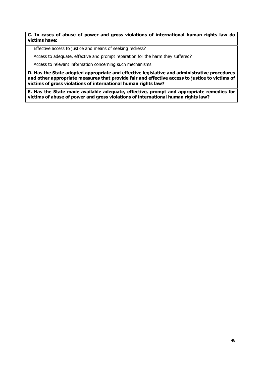#### **C. In cases of abuse of power and gross violations of international human rights law do victims have:**

Effective access to justice and means of seeking redress?

Access to adequate, effective and prompt reparation for the harm they suffered?

Access to relevant information concerning such mechanisms.

**D. Has the State adopted appropriate and effective legislative and administrative procedures and other appropriate measures that provide fair and effective access to justice to victims of victims of gross violations of international human rights law?** 

**E. Has the State made available adequate, effective, prompt and appropriate remedies for victims of abuse of power and gross violations of international human rights law?**